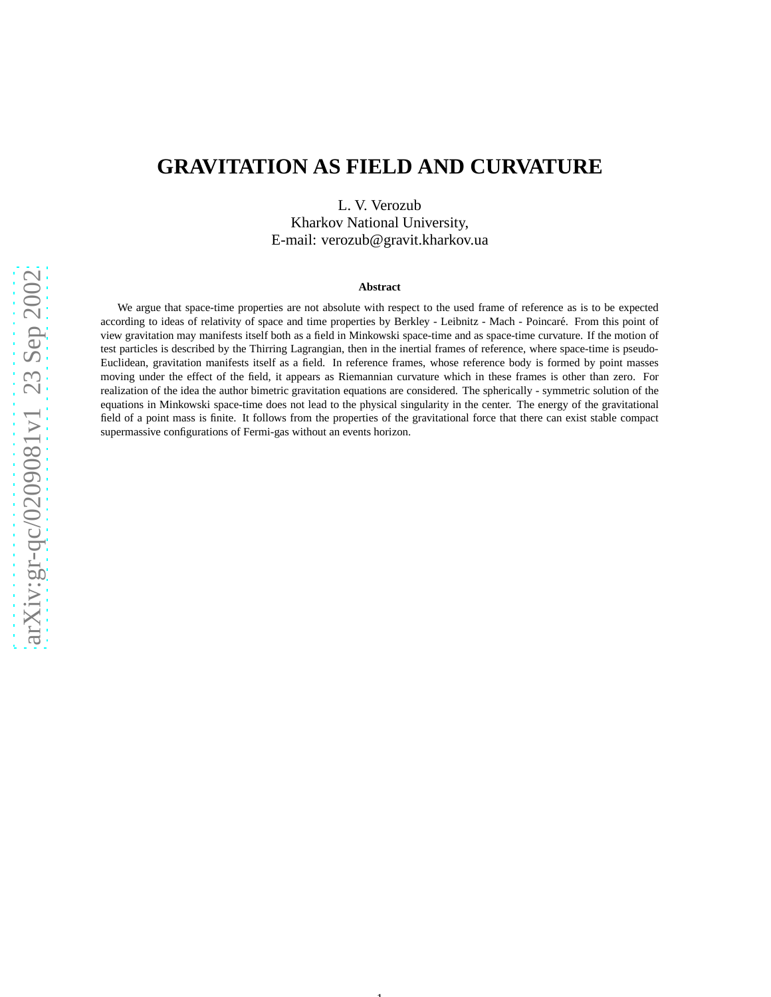# **GRAVITATION AS FIELD AND CURVATURE**

L. V. Verozub Kharkov National University, E-mail: verozub@gravit.kharkov.ua

#### **Abstract**

We argue that space-time properties are not absolute with respect to the used frame of reference as is to be expected according to ideas of relativity of space and time properties by Berkley - Leibnitz - Mach - Poincaré. From this point of view gravitation may manifests itself both as a field in Minkowski space-time and as space-time curvature. If the motion o f test particles is described by the Thirring Lagrangian, then in the inertial frames of reference, where space-time is pseudo-Euclidean, gravitation manifests itself as a field. In reference frames, whose reference body is formed by point masses moving under the effect of the field, it appears as Riemannian curvature which in these frames is other than zero. For realization of the idea the author bimetric gravitation equations are considered. The spherically - symmetric solution of the equations in Minkowski space-time does not lead to the physical singularity in the center. The energy of the gravitational field of a point mass is finite. It follows from the properties of the gravitational force that there can exist stable compact supermassive configurations of Fermi-gas without an events horizon.

1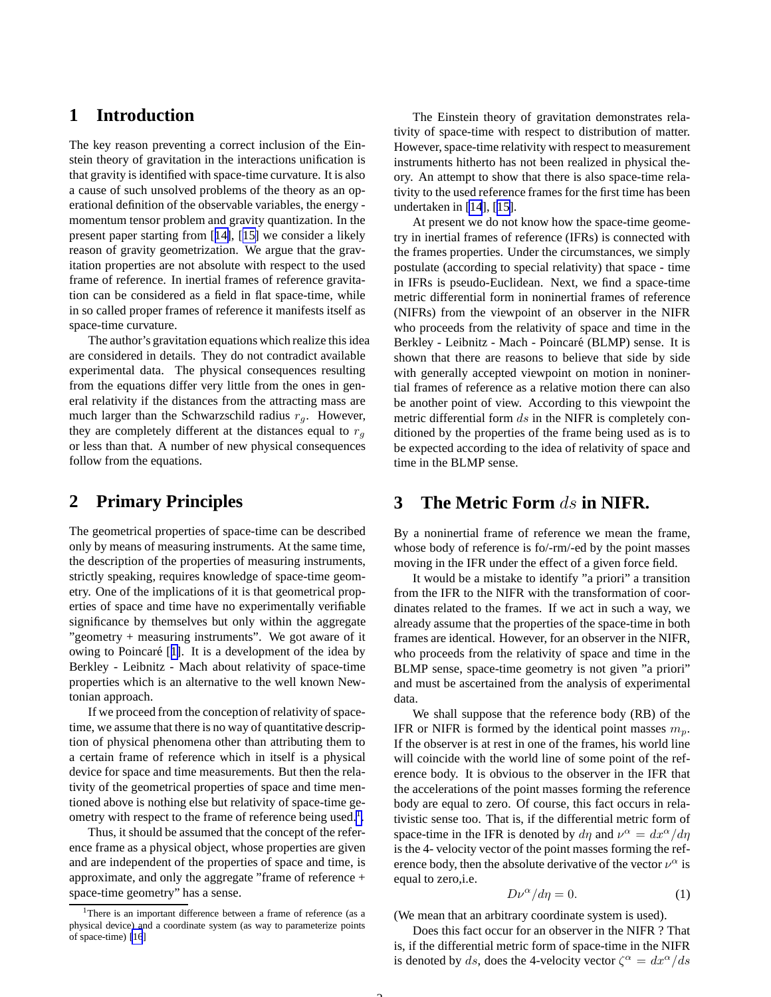## <span id="page-1-0"></span>**1 Introduction**

The key reason preventing a correct inclusion of the Einstein theory of gravitation in the interactions unification is that gravity is identified with space-time curvature. It is also a cause of such unsolved problems of the theory as an operational definition of the observable variables, the energy momentum tensor problem and gravity quantization. In the present paper starting from [[14\]](#page-17-0), [[15\]](#page-17-0) we consider a likely reason of gravity geometrization. We argue that the gravitation properties are not absolute with respect to the used frame of reference. In inertial frames of reference gravitation can be considered as a field in flat space-time, while in so called proper frames of reference it manifests itself as space-time curvature.

The author's gravitation equations which realize this idea are considered in details. They do not contradict available experimental data. The physical consequences resulting from the equations differ very little from the ones in general relativity if the distances from the attracting mass are much larger than the Schwarzschild radius  $r_q$ . However, they are completely different at the distances equal to  $r<sub>q</sub>$ or less than that. A number of new physical consequences follow from the equations.

## **2 Primary Principles**

The geometrical properties of space-time can be described only by means of measuring instruments. At the same time, the description of the properties of measuring instruments, strictly speaking, requires knowledge of space-time geometry. One of the implications of it is that geometrical properties of space and time have no experimentally verifiable significance by themselves but only within the aggregate "geometry + measuring instruments". We got aware of it owing to Poincaré [[1\]](#page-17-0). It is a development of the idea by Berkley - Leibnitz - Mach about relativity of space-time properties which is an alternative to the well known Newtonian approach.

If we proceed from the conception of relativity of spacetime, we assume that there is no way of quantitative description of physical phenomena other than attributing them to a certain frame of reference which in itself is a physical device for space and time measurements. But then the relativity of the geometrical properties of space and time mentioned above is nothing else but relativity of space-time geometry with respect to the frame of reference being used.<sup>1</sup>.

Thus, it should be assumed that the concept of the reference frame as a physical object, whose properties are given and are independent of the properties of space and time, is approximate, and only the aggregate "frame of reference + space-time geometry" has a sense.

The Einstein theory of gravitation demonstrates relativity of space-time with respect to distribution of matter. However, space-time relativity with respect to measurement instruments hitherto has not been realized in physical theory. An attempt to show that there is also space-time relativity to the used reference frames for the first time has been undertaken in [\[14](#page-17-0)], [[15\]](#page-17-0).

At present we do not know how the space-time geometry in inertial frames of reference (IFRs) is connected with the frames properties. Under the circumstances, we simply postulate (according to special relativity) that space - time in IFRs is pseudo-Euclidean. Next, we find a space-time metric differential form in noninertial frames of reference (NIFRs) from the viewpoint of an observer in the NIFR who proceeds from the relativity of space and time in the Berkley - Leibnitz - Mach - Poincaré (BLMP) sense. It is shown that there are reasons to believe that side by side with generally accepted viewpoint on motion in noninertial frames of reference as a relative motion there can also be another point of view. According to this viewpoint the metric differential form ds in the NIFR is completely conditioned by the properties of the frame being used as is to be expected according to the idea of relativity of space and time in the BLMP sense.

### **3 The Metric Form** ds **in NIFR.**

By a noninertial frame of reference we mean the frame, whose body of reference is fo/-rm/-ed by the point masses moving in the IFR under the effect of a given force field.

It would be a mistake to identify "a priori" a transition from the IFR to the NIFR with the transformation of coordinates related to the frames. If we act in such a way, we already assume that the properties of the space-time in both frames are identical. However, for an observer in the NIFR, who proceeds from the relativity of space and time in the BLMP sense, space-time geometry is not given "a priori" and must be ascertained from the analysis of experimental data.

We shall suppose that the reference body (RB) of the IFR or NIFR is formed by the identical point masses  $m_p$ . If the observer is at rest in one of the frames, his world line will coincide with the world line of some point of the reference body. It is obvious to the observer in the IFR that the accelerations of the point masses forming the reference body are equal to zero. Of course, this fact occurs in relativistic sense too. That is, if the differential metric form of space-time in the IFR is denoted by  $d\eta$  and  $v^{\alpha} = dx^{\alpha}/d\eta$ is the 4- velocity vector of the point masses forming the reference body, then the absolute derivative of the vector  $\nu^{\alpha}$  is equal to zero,i.e.

$$
D\nu^{\alpha}/d\eta = 0. \tag{1}
$$

(We mean that an arbitrary coordinate system is used).

Does this fact occur for an observer in the NIFR ? That is, if the differential metric form of space-time in the NIFR is denoted by ds, does the 4-velocity vector  $\zeta^{\alpha} = dx^{\alpha}/ds$ 

<sup>&</sup>lt;sup>1</sup>There is an important difference between a frame of reference (as a physical device) and a coordinate system (as way to parameterize points of space-time) [\[16](#page-17-0)]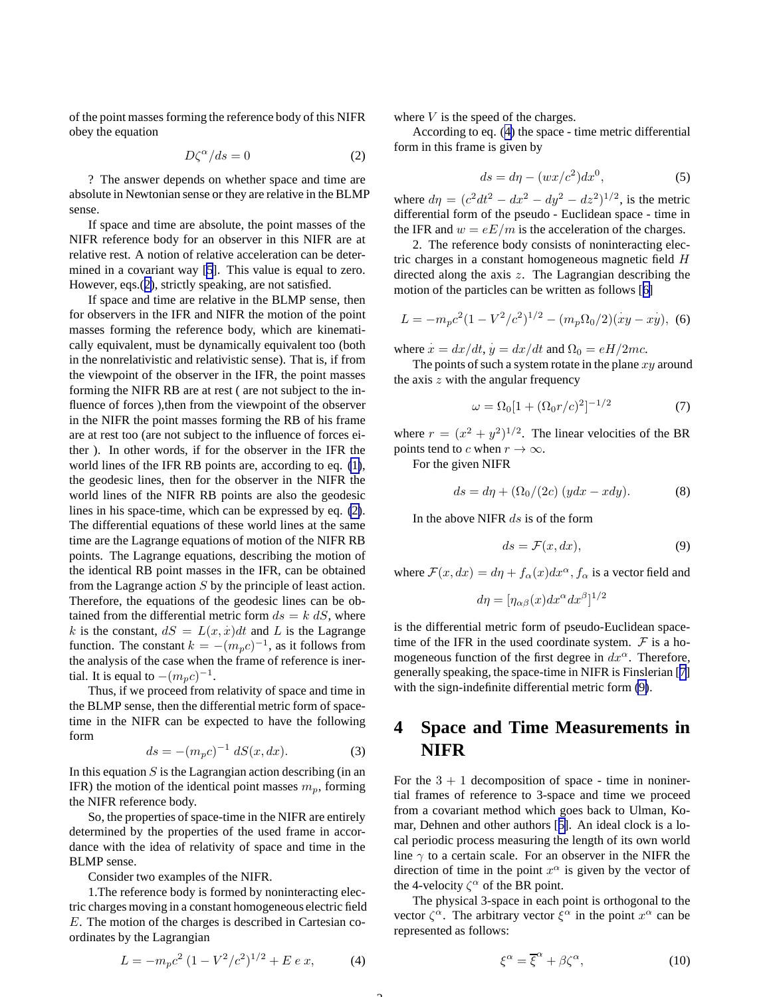<span id="page-2-0"></span>of the point masses forming the reference body of this NIFR obey the equation

$$
D\zeta^{\alpha}/ds = 0 \tag{2}
$$

? The answer depends on whether space and time are absolute in Newtonian sense or they are relative in the BLMP sense.

If space and time are absolute, the point masses of the NIFR reference body for an observer in this NIFR are at relative rest. A notion of relative acceleration can be determined in a covariant way [\[5](#page-17-0)]. This value is equal to zero. However, eqs.(2), strictly speaking, are not satisfied.

If space and time are relative in the BLMP sense, then for observers in the IFR and NIFR the motion of the point masses forming the reference body, which are kinematically equivalent, must be dynamically equivalent too (both in the nonrelativistic and relativistic sense). That is, if from the viewpoint of the observer in the IFR, the point masses forming the NIFR RB are at rest ( are not subject to the influence of forces ),then from the viewpoint of the observer in the NIFR the point masses forming the RB of his frame are at rest too (are not subject to the influence of forces either ). In other words, if for the observer in the IFR the world lines of the IFR RB points are, according to eq. [\(1\)](#page-1-0), the geodesic lines, then for the observer in the NIFR the world lines of the NIFR RB points are also the geodesic lines in his space-time, which can be expressed by eq. (2). The differential equations of these world lines at the same time are the Lagrange equations of motion of the NIFR RB points. The Lagrange equations, describing the motion of the identical RB point masses in the IFR, can be obtained from the Lagrange action  $S$  by the principle of least action. Therefore, the equations of the geodesic lines can be obtained from the differential metric form  $ds = k \, dS$ , where k is the constant,  $dS = L(x, \dot{x})dt$  and L is the Lagrange function. The constant  $k = -(m_p c)^{-1}$ , as it follows from the analysis of the case when the frame of reference is inertial. It is equal to  $-(m_p c)^{-1}$ .

Thus, if we proceed from relativity of space and time in the BLMP sense, then the differential metric form of spacetime in the NIFR can be expected to have the following form

$$
ds = -(m_p c)^{-1} \, dS(x, dx). \tag{3}
$$

In this equation  $S$  is the Lagrangian action describing (in an IFR) the motion of the identical point masses  $m_p$ , forming the NIFR reference body.

So, the properties of space-time in the NIFR are entirely determined by the properties of the used frame in accordance with the idea of relativity of space and time in the BLMP sense.

Consider two examples of the NIFR.

1.The reference body is formed by noninteracting electric charges moving in a constant homogeneous electric field E. The motion of the charges is described in Cartesian coordinates by the Lagrangian

$$
L = -m_p c^2 (1 - V^2/c^2)^{1/2} + E e x,
$$
 (4)

where  $V$  is the speed of the charges.

According to eq. (4) the space - time metric differential form in this frame is given by

$$
ds = d\eta - (wx/c^2)dx^0,
$$
 (5)

where  $d\eta = (c^2 dt^2 - dx^2 - dy^2 - dz^2)^{1/2}$ , is the metric differential form of the pseudo - Euclidean space - time in the IFR and  $w = eE/m$  is the acceleration of the charges.

2. The reference body consists of noninteracting electric charges in a constant homogeneous magnetic field  $H$ directed along the axis z. The Lagrangian describing the motion of the particles can be written as follows [[6\]](#page-17-0)

$$
L = -m_p c^2 (1 - V^2/c^2)^{1/2} - (m_p \Omega_0/2)(xy - xy), \tag{6}
$$

where  $\dot{x} = dx/dt$ ,  $\dot{y} = dx/dt$  and  $\Omega_0 = eH/2mc$ .

The points of such a system rotate in the plane  $xy$  around the axis  $z$  with the angular frequency

$$
\omega = \Omega_0 [1 + (\Omega_0 r/c)^2]^{-1/2}
$$
 (7)

where  $r = (x^2 + y^2)^{1/2}$ . The linear velocities of the BR points tend to c when  $r \to \infty$ .

For the given NIFR

$$
ds = d\eta + (\Omega_0/(2c) (ydx - xdy). \tag{8}
$$

In the above NIFR  $ds$  is of the form

$$
ds = \mathcal{F}(x, dx),\tag{9}
$$

where  $\mathcal{F}(x, dx) = d\eta + f_{\alpha}(x)dx^{\alpha}, f_{\alpha}$  is a vector field and

$$
d\eta = [\eta_{\alpha\beta}(x)dx^{\alpha}dx^{\beta}]^{1/2}
$$

is the differential metric form of pseudo-Euclidean spacetime of the IFR in the used coordinate system.  $\mathcal F$  is a homogeneous function of the first degree in  $dx^{\alpha}$ . Therefore, generally speaking, the space-time in NIFR is Finslerian [[7\]](#page-17-0) with the sign-indefinite differential metric form (9).

## **4 Space and Time Measurements in NIFR**

For the  $3 + 1$  decomposition of space - time in noninertial frames of reference to 3-space and time we proceed from a covariant method which goes back to Ulman, Komar, Dehnen and other authors [[5\]](#page-17-0). An ideal clock is a local periodic process measuring the length of its own world line  $\gamma$  to a certain scale. For an observer in the NIFR the direction of time in the point  $x^{\alpha}$  is given by the vector of the 4-velocity  $\zeta^{\alpha}$  of the BR point.

The physical 3-space in each point is orthogonal to the vector  $\zeta^{\alpha}$ . The arbitrary vector  $\xi^{\alpha}$  in the point  $x^{\alpha}$  can be represented as follows:

$$
\xi^{\alpha} = \overline{\xi}^{\alpha} + \beta \zeta^{\alpha},\tag{10}
$$

 $\sim$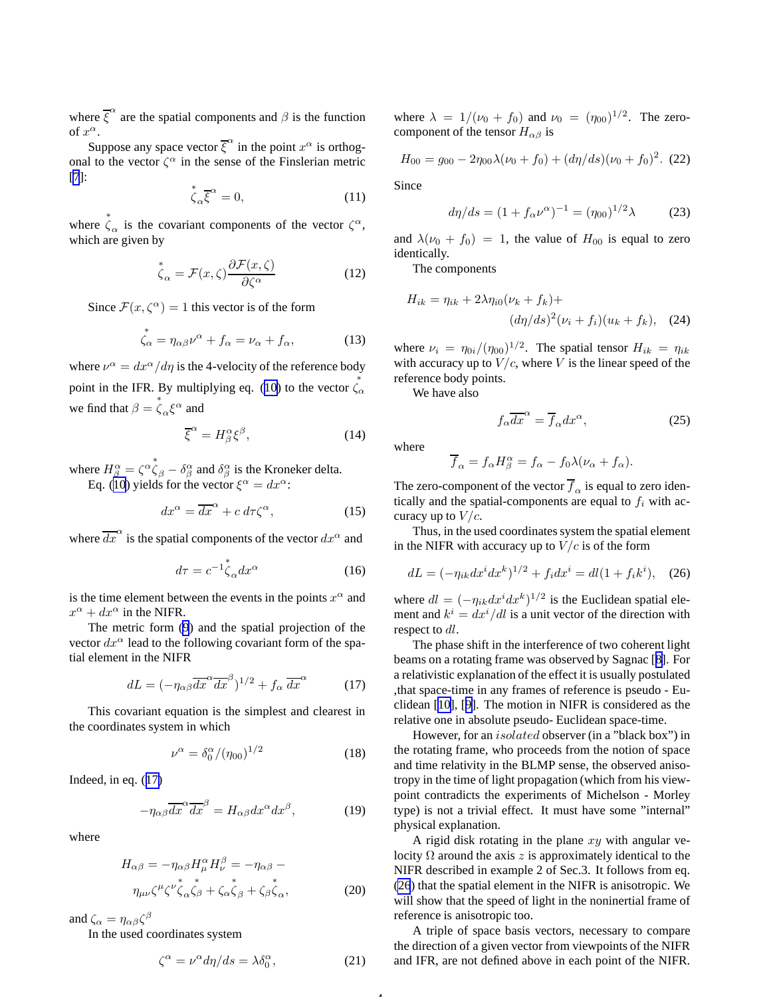<span id="page-3-0"></span>where  $\overline{\xi}^{\alpha}$  are the spatial components and  $\beta$  is the function of  $x^{\alpha}$ .

Suppose any space vector  $\overline{\xi}^{\alpha}$  in the point  $x^{\alpha}$  is orthogonal to the vector  $\zeta^{\alpha}$  in the sense of the Finslerian metric [\[7](#page-17-0)]:

$$
\stackrel{*}{\zeta}_{\alpha} \overline{\xi}^{\alpha} = 0, \tag{11}
$$

where  $\stackrel{*}{\zeta}_\alpha$  is the covariant components of the vector  $\zeta^\alpha$ , which are given by

$$
\stackrel{*}{\zeta}_{\alpha} = \mathcal{F}(x,\zeta) \frac{\partial \mathcal{F}(x,\zeta)}{\partial \zeta^{\alpha}}
$$
 (12)

Since  $\mathcal{F}(x,\zeta^{\alpha})=1$  this vector is of the form

$$
\stackrel{*}{\zeta_{\alpha}} = \eta_{\alpha\beta}\nu^{\alpha} + f_{\alpha} = \nu_{\alpha} + f_{\alpha},\tag{13}
$$

where  $v^{\alpha} = dx^{\alpha}/d\eta$  is the 4-velocity of the reference body point in the IFR. By multiplying eq. ([10](#page-2-0)) to the vector  $\dot{\zeta}_\alpha^*$ we find that  $\beta = \dot{\zeta}_{\alpha} \xi^{\alpha}$  and

$$
\overline{\xi}^{\alpha} = H^{\alpha}_{\beta} \xi^{\beta},\tag{14}
$$

where  $H^{\alpha}_{\beta} = \zeta^{\alpha} \dot{\zeta}_{\beta} - \delta^{\alpha}_{\beta}$  and  $\delta^{\alpha}_{\beta}$  is the Kroneker delta. Eq. ([10](#page-2-0)) yields for the vector  $\xi^{\alpha} = dx^{\alpha}$ :

$$
dx^{\alpha} = \overline{dx}^{\alpha} + c \, d\tau \zeta^{\alpha},\tag{15}
$$

where  $\overline{dx}^{\alpha}$  is the spatial components of the vector  $dx^{\alpha}$  and

$$
d\tau = c^{-1} \overset{*}{\zeta}_{\alpha} dx^{\alpha} \tag{16}
$$

is the time element between the events in the points  $x^{\alpha}$  and  $x^{\alpha} + dx^{\alpha}$  in the NIFR.

The metric form [\(9](#page-2-0)) and the spatial projection of the vector  $dx^{\alpha}$  lead to the following covariant form of the spatial element in the NIFR

$$
dL = \left(-\eta_{\alpha\beta}\overline{dx}^{\alpha}\overline{dx}^{\beta}\right)^{1/2} + f_{\alpha}\overline{dx}^{\alpha} \tag{17}
$$

This covariant equation is the simplest and clearest in the coordinates system in which

$$
\nu^{\alpha} = \delta_0^{\alpha} / (\eta_{00})^{1/2} \tag{18}
$$

Indeed, in eq. (17)

$$
-\eta_{\alpha\beta}\overline{dx}^{\alpha}\overline{dx}^{\beta} = H_{\alpha\beta}dx^{\alpha}dx^{\beta},\qquad(19)
$$

where

$$
H_{\alpha\beta} = -\eta_{\alpha\beta} H_{\mu}^{\alpha} H_{\nu}^{\beta} = -\eta_{\alpha\beta} - \eta_{\mu\nu} \zeta^{\mu} \zeta^{\nu} \zeta_{\alpha} \zeta_{\beta} + \zeta_{\alpha} \zeta_{\beta} + \zeta_{\beta} \zeta_{\alpha}, \qquad (20)
$$

and  $\zeta_{\alpha} = \eta_{\alpha\beta}\zeta^{\beta}$ 

In the used coordinates system

$$
\zeta^{\alpha} = \nu^{\alpha} d\eta/ds = \lambda \delta^{\alpha}_0,\tag{21}
$$

4

where  $\lambda = 1/(\nu_0 + f_0)$  and  $\nu_0 = (\eta_{00})^{1/2}$ . The zerocomponent of the tensor  $H_{\alpha\beta}$  is

$$
H_{00} = g_{00} - 2\eta_{00}\lambda(\nu_0 + f_0) + (d\eta/ds)(\nu_0 + f_0)^2.
$$
 (22)

Since

$$
d\eta/ds = (1 + f_{\alpha} \nu^{\alpha})^{-1} = (\eta_{00})^{1/2} \lambda \tag{23}
$$

and  $\lambda(\nu_0 + f_0) = 1$ , the value of  $H_{00}$  is equal to zero identically.

The components

$$
H_{ik} = \eta_{ik} + 2\lambda \eta_{i0} (\nu_k + f_k) +
$$

$$
(d\eta/ds)^2 (\nu_i + f_i)(u_k + f_k), \quad (24)
$$

where  $\nu_i = \eta_{0i} / (\eta_{00})^{1/2}$ . The spatial tensor  $H_{ik} = \eta_{ik}$ with accuracy up to  $V/c$ , where V is the linear speed of the reference body points.

We have also

$$
f_{\alpha}\overline{dx}^{\alpha} = \overline{f}_{\alpha}dx^{\alpha},\qquad(25)
$$

where

$$
\overline{f}_{\alpha} = f_{\alpha} H^{\alpha}_{\beta} = f_{\alpha} - f_0 \lambda (\nu_{\alpha} + f_{\alpha}).
$$

The zero-component of the vector  $\overline{f}_{\alpha}$  is equal to zero identically and the spatial-components are equal to  $f_i$  with accuracy up to  $V/c$ .

Thus, in the used coordinates system the spatial element in the NIFR with accuracy up to  $V/c$  is of the form

$$
dL = (-\eta_{ik} dx^i dx^k)^{1/2} + f_i dx^i = dl(1 + f_i k^i), \quad (26)
$$

where  $dl = (-\eta_{ik}dx^i dx^k)^{1/2}$  is the Euclidean spatial element and  $k^i = dx^i/dl$  is a unit vector of the direction with respect to dl.

The phase shift in the interference of two coherent light beams on a rotating frame was observed by Sagnac [[8\]](#page-17-0). For a relativistic explanation of the effect it is usually postulated ,that space-time in any frames of reference is pseudo - Euclidean [[10\]](#page-17-0), [[9\]](#page-17-0). The motion in NIFR is considered as the relative one in absolute pseudo- Euclidean space-time.

However, for an isolated observer (in a "black box") in the rotating frame, who proceeds from the notion of space and time relativity in the BLMP sense, the observed anisotropy in the time of light propagation (which from his viewpoint contradicts the experiments of Michelson - Morley type) is not a trivial effect. It must have some "internal" physical explanation.

A rigid disk rotating in the plane  $xy$  with angular velocity  $\Omega$  around the axis z is approximately identical to the NIFR described in example 2 of Sec.3. It follows from eq. (26) that the spatial element in the NIFR is anisotropic. We will show that the speed of light in the noninertial frame of reference is anisotropic too.

A triple of space basis vectors, necessary to compare the direction of a given vector from viewpoints of the NIFR and IFR, are not defined above in each point of the NIFR.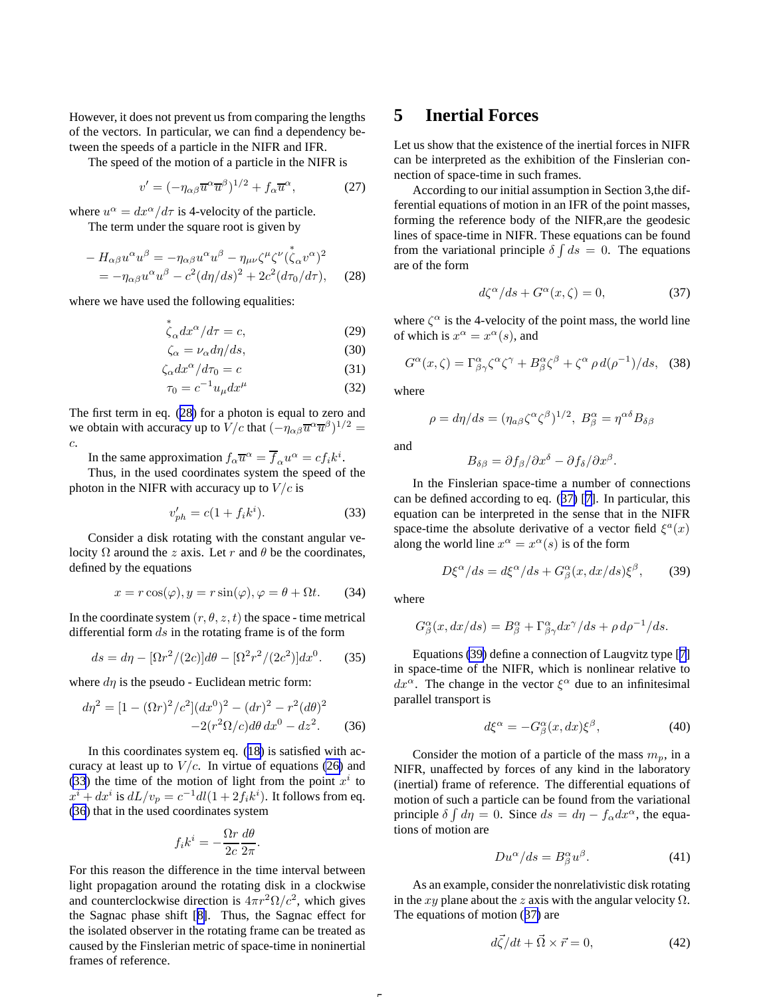<span id="page-4-0"></span>However, it does not prevent us from comparing the lengths of the vectors. In particular, we can find a dependency between the speeds of a particle in the NIFR and IFR.

The speed of the motion of a particle in the NIFR is

$$
v' = (-\eta_{\alpha\beta}\overline{u}^{\alpha}\overline{u}^{\beta})^{1/2} + f_{\alpha}\overline{u}^{\alpha}, \qquad (27)
$$

where  $u^{\alpha} = dx^{\alpha}/d\tau$  is 4-velocity of the particle. The term under the square root is given by

∗

$$
-H_{\alpha\beta}u^{\alpha}u^{\beta} = -\eta_{\alpha\beta}u^{\alpha}u^{\beta} - \eta_{\mu\nu}\zeta^{\mu}\zeta^{\nu}(\zeta_{\alpha}v^{\alpha})^{2}
$$
  
=  $-\eta_{\alpha\beta}u^{\alpha}u^{\beta} - c^{2}(d\eta/ds)^{2} + 2c^{2}(d\tau_{0}/d\tau),$  (28)

where we have used the following equalities:

$$
\stackrel{*}{\zeta}_{\alpha} dx^{\alpha}/d\tau = c,\tag{29}
$$

$$
\zeta_{\alpha} = \nu_{\alpha} d\eta/ds,\tag{30}
$$

$$
\zeta_{\alpha} dx^{\alpha} / d\tau_0 = c \tag{31}
$$

$$
\tau_0 = c^{-1} u_\mu dx^\mu \tag{32}
$$

The first term in eq. (28) for a photon is equal to zero and we obtain with accuracy up to  $V/c$  that  $(-\eta_{\alpha\beta}\overline{u}^{\alpha}\overline{u}^{\beta})^{1/2}$  = c.

In the same approximation  $f_{\alpha} \overline{u}^{\alpha} = \overline{f}_{\alpha} u^{\alpha} = c f_i k^i$ .

Thus, in the used coordinates system the speed of the photon in the NIFR with accuracy up to  $V/c$  is

$$
v'_{ph} = c(1 + f_i k^i). \tag{33}
$$

Consider a disk rotating with the constant angular velocity  $\Omega$  around the z axis. Let r and  $\theta$  be the coordinates, defined by the equations

$$
x = r\cos(\varphi), y = r\sin(\varphi), \varphi = \theta + \Omega t. \tag{34}
$$

In the coordinate system  $(r, \theta, z, t)$  the space - time metrical differential form  $ds$  in the rotating frame is of the form

$$
ds = d\eta - [\Omega r^2/(2c)]d\theta - [\Omega^2 r^2/(2c^2)]dx^0.
$$
 (35)

where  $d\eta$  is the pseudo - Euclidean metric form:

$$
d\eta^{2} = [1 - (\Omega r)^{2}/c^{2}](dx^{0})^{2} - (dr)^{2} - r^{2}(d\theta)^{2}
$$

$$
-2(r^{2}\Omega/c)d\theta dx^{0} - dz^{2}.
$$
 (36)

In this coordinates system eq. ([18\)](#page-3-0) is satisfied with accuracy at least up to  $V/c$ . In virtue of equations [\(26\)](#page-3-0) and (33) the time of the motion of light from the point  $x^i$  to  $x^{i} + dx^{i}$  is  $dL/v_{p} = c^{-1}dl(1 + 2f_{i}k^{i})$ . It follows from eq. (36) that in the used coordinates system

$$
f_i k^i = -\frac{\Omega r}{2c} \frac{d\theta}{2\pi}.
$$

For this reason the difference in the time interval between light propagation around the rotating disk in a clockwise and counterclockwise direction is  $4\pi r^2 \Omega/c^2$ , which gives the Sagnac phase shift [[8\]](#page-17-0). Thus, the Sagnac effect for the isolated observer in the rotating frame can be treated as caused by the Finslerian metric of space-time in noninertial frames of reference.

## **5 Inertial Forces**

Let us show that the existence of the inertial forces in NIFR can be interpreted as the exhibition of the Finslerian connection of space-time in such frames.

According to our initial assumption in Section 3,the differential equations of motion in an IFR of the point masses, forming the reference body of the NIFR,are the geodesic lines of space-time in NIFR. These equations can be found from the variational principle  $\delta \int ds = 0$ . The equations are of the form

$$
d\zeta^{\alpha}/ds + G^{\alpha}(x,\zeta) = 0, \qquad (37)
$$

where  $\zeta^{\alpha}$  is the 4-velocity of the point mass, the world line of which is  $x^{\alpha} = x^{\alpha}(s)$ , and

$$
G^{\alpha}(x,\zeta) = \Gamma^{\alpha}_{\beta\gamma}\zeta^{\alpha}\zeta^{\gamma} + B^{\alpha}_{\beta}\zeta^{\beta} + \zeta^{\alpha}\,\rho\,d(\rho^{-1})/ds,\tag{38}
$$

where

$$
\rho = d\eta/ds = (\eta_{a\beta}\zeta^{\alpha}\zeta^{\beta})^{1/2}, B^{\alpha}_{\beta} = \eta^{\alpha\delta}B_{\delta\beta}
$$

and

$$
B_{\delta\beta}=\partial f_{\beta}/\partial x^{\delta}-\partial f_{\delta}/\partial x^{\beta}.
$$

In the Finslerian space-time a number of connections can be defined according to eq. (37) [[7\]](#page-17-0). In particular, this equation can be interpreted in the sense that in the NIFR space-time the absolute derivative of a vector field  $\xi^a(x)$ along the world line  $x^{\alpha} = x^{\alpha}(s)$  is of the form

$$
D\xi^{\alpha}/ds = d\xi^{\alpha}/ds + G^{\alpha}_{\beta}(x, dx/ds)\xi^{\beta}, \qquad (39)
$$

where

$$
G^{\alpha}_{\beta}(x, dx/ds) = B^{\alpha}_{\beta} + \Gamma^{\alpha}_{\beta\gamma} dx^{\gamma}/ds + \rho d\rho^{-1}/ds.
$$

Equations (39) define a connection of Laugvitz type [[7\]](#page-17-0) in space-time of the NIFR, which is nonlinear relative to  $dx^{\alpha}$ . The change in the vector  $\xi^{\alpha}$  due to an infinitesimal parallel transport is

$$
d\xi^{\alpha} = -G^{\alpha}_{\beta}(x, dx)\xi^{\beta},\tag{40}
$$

Consider the motion of a particle of the mass  $m_p$ , in a NIFR, unaffected by forces of any kind in the laboratory (inertial) frame of reference. The differential equations of motion of such a particle can be found from the variational principle  $\delta \int d\eta = 0$ . Since  $ds = d\eta - f_{\alpha} dx^{\alpha}$ , the equations of motion are

$$
Du^{\alpha}/ds = B^{\alpha}_{\beta}u^{\beta}.
$$
 (41)

As an example, consider the nonrelativistic disk rotating in the xy plane about the z axis with the angular velocity  $\Omega$ . The equations of motion (37) are

$$
d\vec{\zeta}/dt + \vec{\Omega} \times \vec{r} = 0,\t(42)
$$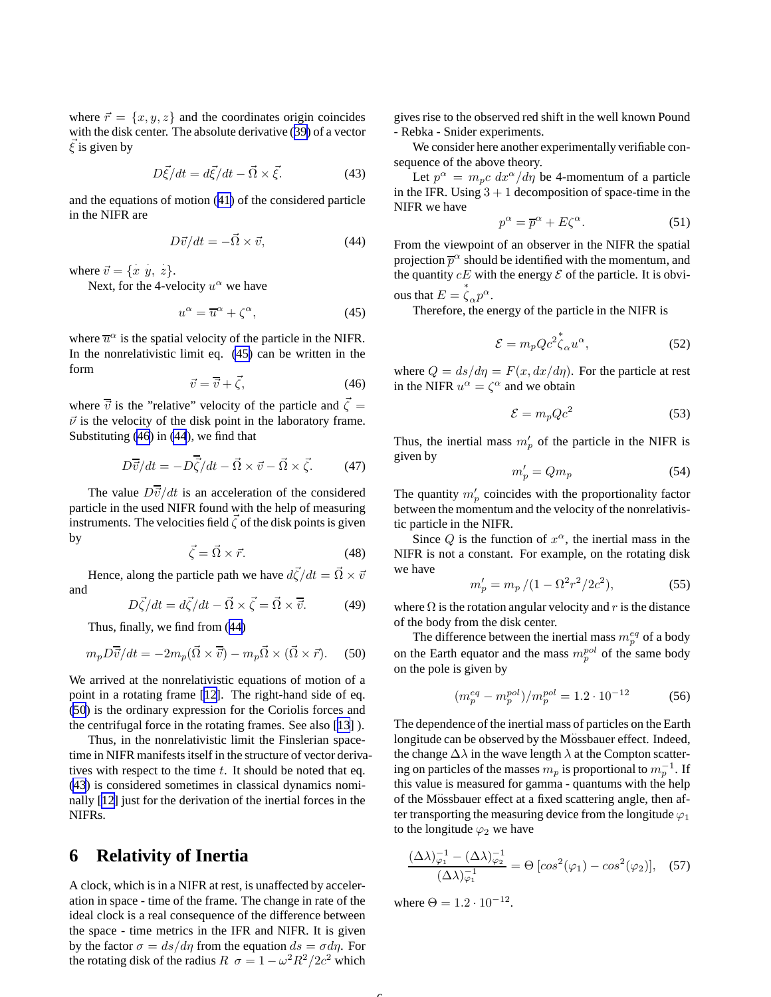where  $\vec{r} = \{x, y, z\}$  and the coordinates origin coincides with the disk center. The absolute derivative ([39\)](#page-4-0) of a vector  $\xi$  is given by

$$
D\vec{\xi}/dt = d\vec{\xi}/dt - \vec{\Omega} \times \vec{\xi}.
$$
 (43)

and the equations of motion ([41](#page-4-0)) of the considered particle in the NIFR are

$$
D\vec{v}/dt = -\vec{\Omega} \times \vec{v},\tag{44}
$$

where  $\vec{v} = \{\dot{x} \, \dot{y}, \dot{z}\}.$ 

Next, for the 4-velocity  $u^{\alpha}$  we have

$$
u^{\alpha} = \overline{u}^{\alpha} + \zeta^{\alpha}, \tag{45}
$$

where  $\overline{u}^{\alpha}$  is the spatial velocity of the particle in the NIFR. In the nonrelativistic limit eq. (45) can be written in the form

$$
\vec{v} = \overline{\vec{v}} + \vec{\zeta},\tag{46}
$$

where  $\overline{\vec{v}}$  is the "relative" velocity of the particle and  $\vec{\zeta} =$  $\vec{v}$  is the velocity of the disk point in the laboratory frame. Substituting (46) in (44), we find that

$$
D\overline{\vec{v}}/dt = -D\overline{\vec{\zeta}}/dt - \vec{\Omega} \times \vec{v} - \vec{\Omega} \times \vec{\zeta}.
$$
 (47)

The value  $D\overline{\vec{v}}/dt$  is an acceleration of the considered particle in the used NIFR found with the help of measuring instruments. The velocities field  $\vec{\zeta}$  of the disk points is given by

$$
\vec{\zeta} = \vec{\Omega} \times \vec{r}.\tag{48}
$$

Hence, along the particle path we have  $d\vec{\zeta}/dt = \vec{\Omega} \times \vec{v}$ and

$$
D\vec{\zeta}/dt = d\vec{\zeta}/dt - \vec{\Omega} \times \vec{\zeta} = \vec{\Omega} \times \vec{\overline{v}}.
$$
 (49)

Thus, finally, we find from (44)

$$
m_p D\overline{\vec{v}}/dt = -2m_p(\vec{\Omega} \times \overline{\vec{v}}) - m_p \vec{\Omega} \times (\vec{\Omega} \times \vec{r}).
$$
 (50)

We arrived at the nonrelativistic equations of motion of a point in a rotating frame [\[12\]](#page-17-0). The right-hand side of eq. (50) is the ordinary expression for the Coriolis forces and the centrifugal force in the rotating frames. See also [\[13](#page-17-0)] ).

Thus, in the nonrelativistic limit the Finslerian spacetime in NIFR manifests itself in the structure of vector derivatives with respect to the time  $t$ . It should be noted that eq. (43) is considered sometimes in classical dynamics nominally [[12\]](#page-17-0) just for the derivation of the inertial forces in the NIFRs.

### **6 Relativity of Inertia**

A clock, which is in a NIFR at rest, is unaffected by acceleration in space - time of the frame. The change in rate of the ideal clock is a real consequence of the difference between the space - time metrics in the IFR and NIFR. It is given by the factor  $\sigma = ds/d\eta$  from the equation  $ds = \sigma d\eta$ . For the rotating disk of the radius  $R \space \sigma = 1 - \omega^2 R^2 / 2c^2$  which

gives rise to the observed red shift in the well known Pound - Rebka - Snider experiments.

We consider here another experimentally verifiable consequence of the above theory.

Let  $p^{\alpha} = m_p c \, dx^{\alpha}/d\eta$  be 4-momentum of a particle in the IFR. Using  $3 + 1$  decomposition of space-time in the NIFR we have

$$
p^{\alpha} = \overline{p}^{\alpha} + E\zeta^{\alpha}.
$$
 (51)

From the viewpoint of an observer in the NIFR the spatial projection  $\overline{p}^{\alpha}$  should be identified with the momentum, and the quantity  $cE$  with the energy  $\mathcal E$  of the particle. It is obvious that  $E = \overset{*}{\zeta}_{\alpha} p^{\alpha}$ .

Therefore, the energy of the particle in the NIFR is

$$
\mathcal{E} = m_p Q c^2 \overset{*}{\zeta}_{\alpha} u^{\alpha},\tag{52}
$$

where  $Q = ds/d\eta = F(x, dx/d\eta)$ . For the particle at rest in the NIFR  $u^{\alpha} = \zeta^{\alpha}$  and we obtain

$$
\mathcal{E} = m_p Q c^2 \tag{53}
$$

Thus, the inertial mass  $m'_p$  of the particle in the NIFR is given by

$$
m'_p = Qm_p \tag{54}
$$

The quantity  $m'_p$  coincides with the proportionality factor between the momentum and the velocity of the nonrelativistic particle in the NIFR.

Since  $Q$  is the function of  $x^{\alpha}$ , the inertial mass in the NIFR is not a constant. For example, on the rotating disk we have

$$
m'_p = m_p / (1 - \Omega^2 r^2 / 2c^2),\tag{55}
$$

where  $\Omega$  is the rotation angular velocity and r is the distance of the body from the disk center.

The difference between the inertial mass  $m_p^{eq}$  of a body on the Earth equator and the mass  $m_p^{pol}$  of the same body on the pole is given by

$$
(m_p^{eq} - m_p^{pol})/m_p^{pol} = 1.2 \cdot 10^{-12} \tag{56}
$$

The dependence of the inertial mass of particles on the Earth longitude can be observed by the Mossbauer effect. Indeed, the change  $\Delta\lambda$  in the wave length  $\lambda$  at the Compton scattering on particles of the masses  $m_p$  is proportional to  $m_p^{-1}$ . If this value is measured for gamma - quantums with the help of the Mossbauer effect at a fixed scattering angle, then after transporting the measuring device from the longitude  $\varphi_1$ to the longitude  $\varphi_2$  we have

$$
\frac{(\Delta\lambda)^{-1}_{\varphi_1} - (\Delta\lambda)^{-1}_{\varphi_2}}{(\Delta\lambda)^{-1}_{\varphi_1}} = \Theta \left[ \cos^2(\varphi_1) - \cos^2(\varphi_2) \right], \quad (57)
$$

where  $\Theta = 1.2 \cdot 10^{-12}$ .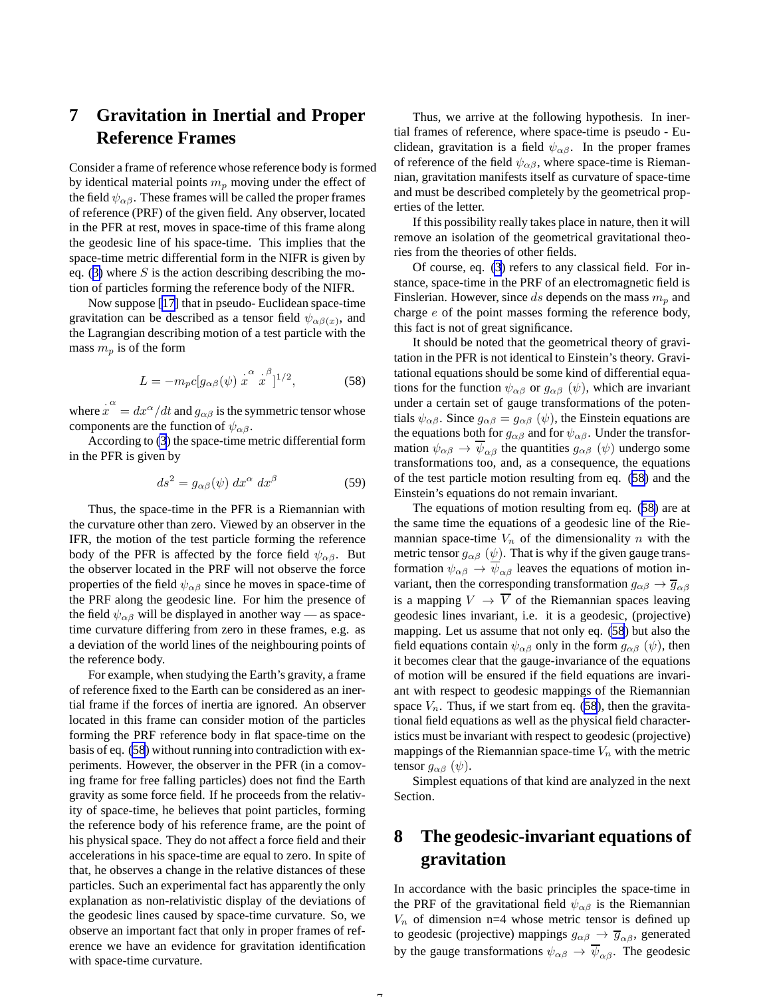## <span id="page-6-0"></span>**7 Gravitation in Inertial and Proper Reference Frames**

Consider a frame of reference whose reference body is formed by identical material points  $m_p$  moving under the effect of the field  $\psi_{\alpha\beta}$ . These frames will be called the proper frames of reference (PRF) of the given field. Any observer, located in the PFR at rest, moves in space-time of this frame along the geodesic line of his space-time. This implies that the space-time metric differential form in the NIFR is given by eq. ([3\)](#page-2-0) where  $S$  is the action describing describing the motion of particles forming the reference body of the NIFR.

Now suppose [[17\]](#page-17-0) that in pseudo- Euclidean space-time gravitation can be described as a tensor field  $\psi_{\alpha\beta}(x)$ , and the Lagrangian describing motion of a test particle with the mass  $m_p$  is of the form

$$
L = -m_p c [g_{\alpha\beta}(\psi) \stackrel{\cdot \alpha}{x} \stackrel{\cdot \beta}{x}]^{1/2},\tag{58}
$$

where  $\dot{x}^{\alpha} = dx^{\alpha}/dt$  and  $g_{\alpha\beta}$  is the symmetric tensor whose components are the function of  $\psi_{\alpha\beta}$ .

According to [\(3](#page-2-0)) the space-time metric differential form in the PFR is given by

$$
ds^2 = g_{\alpha\beta}(\psi) dx^{\alpha} dx^{\beta} \tag{59}
$$

Thus, the space-time in the PFR is a Riemannian with the curvature other than zero. Viewed by an observer in the IFR, the motion of the test particle forming the reference body of the PFR is affected by the force field  $\psi_{\alpha\beta}$ . But the observer located in the PRF will not observe the force properties of the field  $\psi_{\alpha\beta}$  since he moves in space-time of the PRF along the geodesic line. For him the presence of the field  $\psi_{\alpha\beta}$  will be displayed in another way — as spacetime curvature differing from zero in these frames, e.g. as a deviation of the world lines of the neighbouring points of the reference body.

For example, when studying the Earth's gravity, a frame of reference fixed to the Earth can be considered as an inertial frame if the forces of inertia are ignored. An observer located in this frame can consider motion of the particles forming the PRF reference body in flat space-time on the basis of eq. (58) without running into contradiction with experiments. However, the observer in the PFR (in a comoving frame for free falling particles) does not find the Earth gravity as some force field. If he proceeds from the relativity of space-time, he believes that point particles, forming the reference body of his reference frame, are the point of his physical space. They do not affect a force field and their accelerations in his space-time are equal to zero. In spite of that, he observes a change in the relative distances of these particles. Such an experimental fact has apparently the only explanation as non-relativistic display of the deviations of the geodesic lines caused by space-time curvature. So, we observe an important fact that only in proper frames of reference we have an evidence for gravitation identification with space-time curvature.

Thus, we arrive at the following hypothesis. In inertial frames of reference, where space-time is pseudo - Euclidean, gravitation is a field  $\psi_{\alpha\beta}$ . In the proper frames of reference of the field  $\psi_{\alpha\beta}$ , where space-time is Riemannian, gravitation manifests itself as curvature of space-time and must be described completely by the geometrical properties of the letter.

If this possibility really takes place in nature, then it will remove an isolation of the geometrical gravitational theories from the theories of other fields.

Of course, eq. [\(3](#page-2-0)) refers to any classical field. For instance, space-time in the PRF of an electromagnetic field is Finslerian. However, since ds depends on the mass  $m_p$  and charge e of the point masses forming the reference body, this fact is not of great significance.

It should be noted that the geometrical theory of gravitation in the PFR is not identical to Einstein's theory. Gravitational equations should be some kind of differential equations for the function  $\psi_{\alpha\beta}$  or  $g_{\alpha\beta}$  ( $\psi$ ), which are invariant under a certain set of gauge transformations of the potentials  $\psi_{\alpha\beta}$ . Since  $g_{\alpha\beta} = g_{\alpha\beta}(\psi)$ , the Einstein equations are the equations both for  $g_{\alpha\beta}$  and for  $\psi_{\alpha\beta}$ . Under the transformation  $\psi_{\alpha\beta} \rightarrow \overline{\psi}_{\alpha\beta}$  the quantities  $g_{\alpha\beta}$  ( $\psi$ ) undergo some transformations too, and, as a consequence, the equations of the test particle motion resulting from eq. (58) and the Einstein's equations do not remain invariant.

The equations of motion resulting from eq. (58) are at the same time the equations of a geodesic line of the Riemannian space-time  $V_n$  of the dimensionality n with the metric tensor  $g_{\alpha\beta}$  ( $\psi$ ). That is why if the given gauge transformation  $\psi_{\alpha\beta} \rightarrow \overline{\psi}_{\alpha\beta}$  leaves the equations of motion invariant, then the corresponding transformation  $g_{\alpha\beta} \rightarrow \overline{g}_{\alpha\beta}$ is a mapping  $V \to \overline{V}$  of the Riemannian spaces leaving geodesic lines invariant, i.e. it is a geodesic, (projective) mapping. Let us assume that not only eq. (58) but also the field equations contain  $\psi_{\alpha\beta}$  only in the form  $g_{\alpha\beta}$  ( $\psi$ ), then it becomes clear that the gauge-invariance of the equations of motion will be ensured if the field equations are invariant with respect to geodesic mappings of the Riemannian space  $V_n$ . Thus, if we start from eq. (58), then the gravitational field equations as well as the physical field characteristics must be invariant with respect to geodesic (projective) mappings of the Riemannian space-time  $V_n$  with the metric tensor  $g_{\alpha\beta}(\psi)$ .

Simplest equations of that kind are analyzed in the next Section.

## **8 The geodesic-invariant equations of gravitation**

In accordance with the basic principles the space-time in the PRF of the gravitational field  $\psi_{\alpha\beta}$  is the Riemannian  $V_n$  of dimension n=4 whose metric tensor is defined up to geodesic (projective) mappings  $g_{\alpha\beta} \rightarrow \overline{g}_{\alpha\beta}$ , generated by the gauge transformations  $\psi_{\alpha\beta} \rightarrow \overline{\psi}_{\alpha\beta}$ . The geodesic

-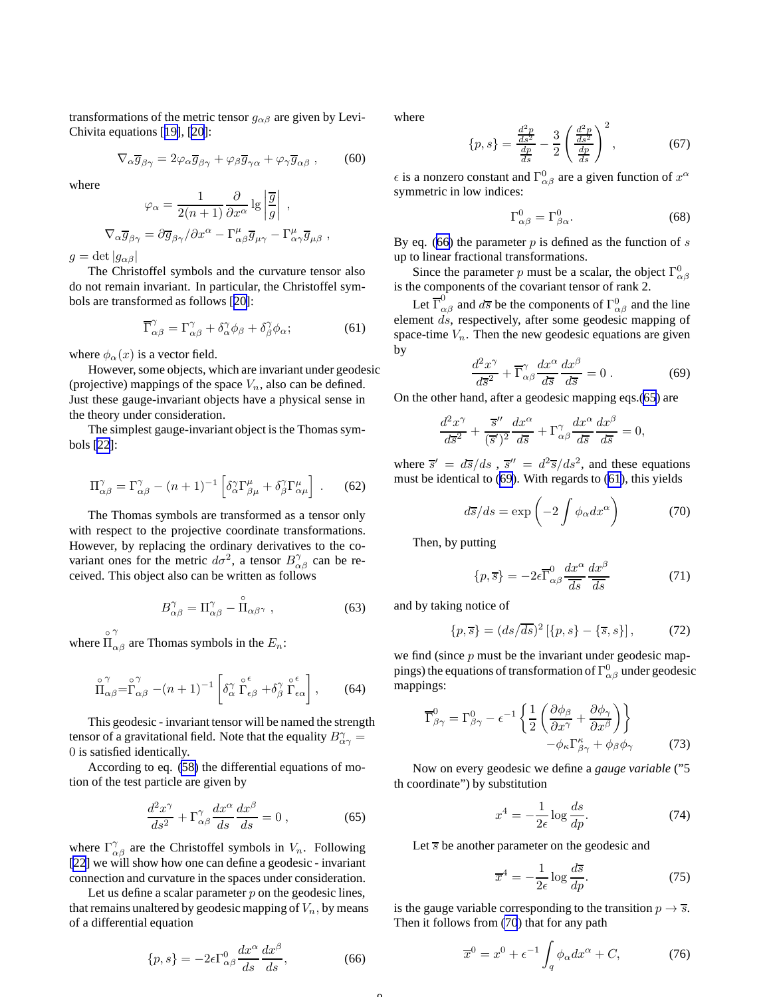<span id="page-7-0"></span>transformations of the metric tensor  $g_{\alpha\beta}$  are given by Levi-Chivita equations [[19\]](#page-17-0), [\[20](#page-17-0)]:

$$
\nabla_{\alpha}\overline{g}_{\beta\gamma} = 2\varphi_{\alpha}\overline{g}_{\beta\gamma} + \varphi_{\beta}\overline{g}_{\gamma\alpha} + \varphi_{\gamma}\overline{g}_{\alpha\beta} ,\qquad(60)
$$

where

$$
\varphi_{\alpha} = \frac{1}{2(n+1)} \frac{\partial}{\partial x^{\alpha}} \lg \left| \frac{\overline{g}}{g} \right| ,
$$
  

$$
\nabla_{\alpha} \overline{g}_{\beta \gamma} = \partial \overline{g}_{\beta \gamma} / \partial x^{\alpha} - \Gamma^{\mu}_{\alpha \beta} \overline{g}_{\mu \gamma} - \Gamma^{\mu}_{\alpha \gamma} \overline{g}_{\mu \beta} ,
$$

 $g = \det|g_{\alpha\beta}|$ 

The Christoffel symbols and the curvature tensor also do not remain invariant. In particular, the Christoffel symbols are transformed as follows [[20\]](#page-17-0):

$$
\overline{\Gamma}_{\alpha\beta}^{\gamma} = \Gamma_{\alpha\beta}^{\gamma} + \delta_{\alpha}^{\gamma} \phi_{\beta} + \delta_{\beta}^{\gamma} \phi_{\alpha};
$$
 (61)

where  $\phi_{\alpha}(x)$  is a vector field.

However, some objects, which are invariant under geodesic (projective) mappings of the space  $V_n$ , also can be defined. Just these gauge-invariant objects have a physical sense in the theory under consideration.

The simplest gauge-invariant object is the Thomas symbols [\[22](#page-17-0)]:

$$
\Pi^{\gamma}_{\alpha\beta} = \Gamma^{\gamma}_{\alpha\beta} - (n+1)^{-1} \left[ \delta^{\gamma}_{\alpha} \Gamma^{\mu}_{\beta\mu} + \delta^{\gamma}_{\beta} \Gamma^{\mu}_{\alpha\mu} \right] . \tag{62}
$$

The Thomas symbols are transformed as a tensor only with respect to the projective coordinate transformations. However, by replacing the ordinary derivatives to the covariant ones for the metric  $d\sigma^2$ , a tensor  $B^{\gamma}_{\alpha\beta}$  can be received. This object also can be written as follows

$$
B^{\gamma}_{\alpha\beta} = \Pi^{\gamma}_{\alpha\beta} - \stackrel{\circ}{\Pi}_{\alpha\beta^{\gamma}} , \qquad (63)
$$

where  $\prod$ <sup>o</sup> γ  $\alpha\beta$  are Thomas symbols in the  $E_n$ :

$$
\prod_{\alpha\beta}^{\circ\gamma} = \prod_{\alpha\beta}^{\circ\gamma} - (n+1)^{-1} \left[ \delta_{\alpha}^{\gamma} \prod_{\epsilon\beta}^{\circ\epsilon} + \delta_{\beta}^{\gamma} \prod_{\epsilon\alpha}^{\circ\epsilon} \right],
$$
 (64)

This geodesic - invariant tensor will be named the strength tensor of a gravitational field. Note that the equality  $B^{\gamma}_{\alpha\gamma} =$ 0 is satisfied identically.

According to eq. [\(58\)](#page-6-0) the differential equations of motion of the test particle are given by

$$
\frac{d^2x^{\gamma}}{ds^2} + \Gamma^{\gamma}_{\alpha\beta}\frac{dx^{\alpha}}{ds}\frac{dx^{\beta}}{ds} = 0 , \qquad (65)
$$

where  $\Gamma^{\gamma}_{\alpha\beta}$  are the Christoffel symbols in  $V_n$ . Following [\[22](#page-17-0)] we will show how one can define a geodesic - invariant connection and curvature in the spaces under consideration.

Let us define a scalar parameter  $p$  on the geodesic lines, that remains unaltered by geodesic mapping of  $V_n$ , by means of a differential equation

$$
\{p,s\} = -2\epsilon \Gamma^0_{\alpha\beta} \frac{dx^\alpha}{ds} \frac{dx^\beta}{ds},\tag{66}
$$

 $\Omega$ 

where

$$
\{p,s\} = \frac{\frac{d^2p}{ds^2}}{\frac{dp}{ds}} - \frac{3}{2} \left(\frac{\frac{d^2p}{ds^2}}{\frac{dp}{ds}}\right)^2, \tag{67}
$$

 $\epsilon$  is a nonzero constant and  $\Gamma^0_{\alpha\beta}$  are a given function of  $x^{\alpha}$ symmetric in low indices:

$$
\Gamma^0_{\alpha\beta} = \Gamma^0_{\beta\alpha}.\tag{68}
$$

By eq. (66) the parameter  $p$  is defined as the function of  $s$ up to linear fractional transformations.

Since the parameter p must be a scalar, the object  $\Gamma^0_{\alpha\beta}$ is the components of the covariant tensor of rank 2.

Let  $\overline{\Gamma}^0_{\alpha\beta}$  and  $d\overline{s}$  be the components of  $\Gamma^0_{\alpha\beta}$  and the line element ds, respectively, after some geodesic mapping of space-time  $V_n$ . Then the new geodesic equations are given by

$$
\frac{d^2x^{\gamma}}{d\overline{s}^2} + \overline{\Gamma}^{\gamma}_{\alpha\beta} \frac{dx^{\alpha}}{d\overline{s}} \frac{dx^{\beta}}{d\overline{s}} = 0.
$$
 (69)

On the other hand, after a geodesic mapping eqs.(65) are

$$
\frac{d^2x^\gamma}{d\overline{s}^2} + \frac{\overline{s}''}{(\overline{s}')^2}\frac{dx^\alpha}{d\overline{s}} + \Gamma^\gamma_{\alpha\beta}\frac{dx^\alpha}{d\overline{s}}\frac{dx^\beta}{d\overline{s}} = 0,
$$

where  $\overline{s}' = d\overline{s}/ds$ ,  $\overline{s}'' = d^2\overline{s}/ds^2$ , and these equations must be identical to (69). With regards to (61), this yields

$$
d\overline{s}/ds = \exp\left(-2\int \phi_{\alpha} dx^{\alpha}\right) \tag{70}
$$

Then, by putting

$$
\{p,\overline{s}\} = -2\epsilon \overline{\Gamma}^0_{\alpha\beta} \frac{dx^{\alpha}}{\overline{ds}} \frac{dx^{\beta}}{\overline{ds}}
$$
(71)

and by taking notice of

$$
\{p,\overline{s}\} = (ds/\overline{ds})^2 [\{p,s\} - \{\overline{s},s\}],
$$
 (72)

we find (since  $p$  must be the invariant under geodesic mappings) the equations of transformation of  $\Gamma^{0}_{\alpha\beta}$  under geodesic mappings:

$$
\overline{\Gamma}^0_{\beta\gamma} = \Gamma^0_{\beta\gamma} - \epsilon^{-1} \left\{ \frac{1}{2} \left( \frac{\partial \phi_\beta}{\partial x^\gamma} + \frac{\partial \phi_\gamma}{\partial x^\beta} \right) \right\} - \phi_\kappa \Gamma^\kappa_{\beta\gamma} + \phi_\beta \phi_\gamma
$$
(73)

Now on every geodesic we define a *gauge variable* ("5 th coordinate") by substitution

$$
x^4 = -\frac{1}{2\epsilon} \log \frac{ds}{dp}.\tag{74}
$$

Let  $\overline{s}$  be another parameter on the geodesic and

$$
\overline{x}^4 = -\frac{1}{2\epsilon} \log \frac{d\overline{s}}{dp}.
$$
 (75)

is the gauge variable corresponding to the transition  $p \rightarrow \overline{s}$ . Then it follows from (70) that for any path

$$
\overline{x}^0 = x^0 + \epsilon^{-1} \int_q \phi_\alpha dx^\alpha + C,\tag{76}
$$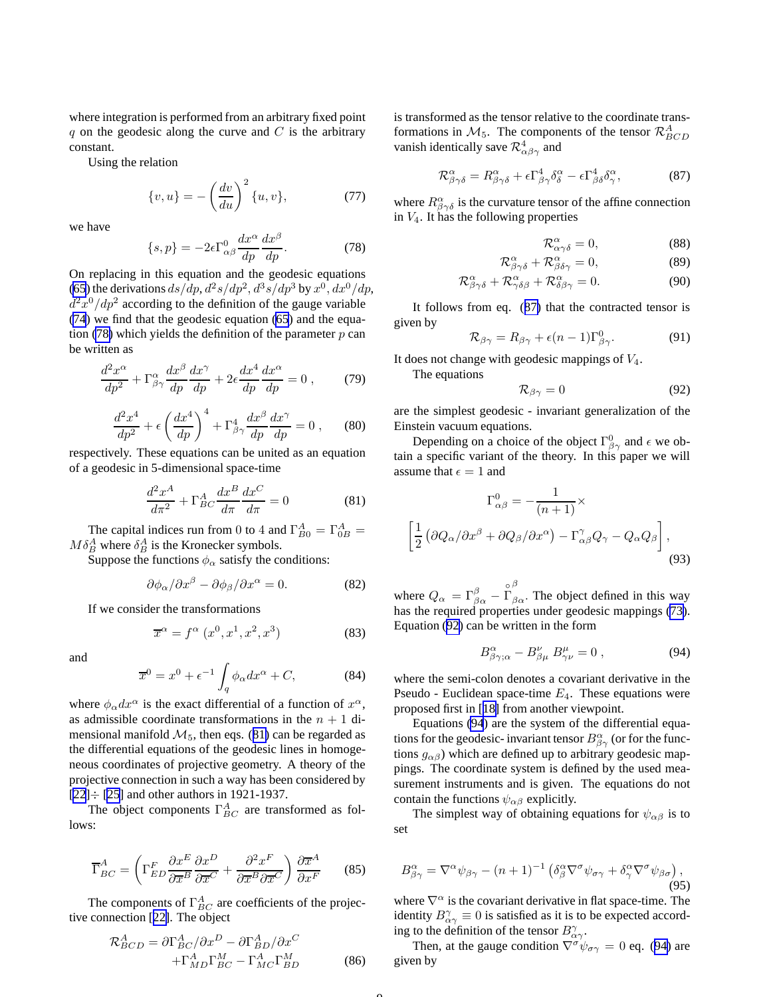<span id="page-8-0"></span>where integration is performed from an arbitrary fixed point q on the geodesic along the curve and  $C$  is the arbitrary constant.

Using the relation

$$
\{v, u\} = -\left(\frac{dv}{du}\right)^2 \{u, v\},\tag{77}
$$

we have

$$
\{s, p\} = -2\epsilon \Gamma^0_{\alpha\beta} \frac{dx^{\alpha}}{dp} \frac{dx^{\beta}}{dp}.
$$
 (78)

On replacing in this equation and the geodesic equations [\(65](#page-7-0)) the derivations  $ds/dp$ ,  $d^2s/dp^2$ ,  $d^3s/dp^3$  by  $x^0$ ,  $dx^0/dp$ ,  $d^2x^0/dp^2$  according to the definition of the gauge variable [\(74](#page-7-0)) we find that the geodesic equation [\(65](#page-7-0)) and the equation (78) which yields the definition of the parameter  $p$  can be written as

$$
\frac{d^2x^{\alpha}}{dp^2} + \Gamma^{\alpha}_{\beta\gamma}\frac{dx^{\beta}}{dp}\frac{dx^{\gamma}}{dp} + 2\epsilon \frac{dx^4}{dp}\frac{dx^{\alpha}}{dp} = 0 ,\qquad(79)
$$

$$
\frac{d^2x^4}{dp^2} + \epsilon \left(\frac{dx^4}{dp}\right)^4 + \Gamma^4_{\beta\gamma}\frac{dx^{\beta}}{dp}\frac{dx^{\gamma}}{dp} = 0 ,\qquad(80)
$$

respectively. These equations can be united as an equation of a geodesic in 5-dimensional space-time

$$
\frac{d^2x^A}{d\pi^2} + \Gamma^A_{BC}\frac{dx^B}{d\pi}\frac{dx^C}{d\pi} = 0
$$
 (81)

The capital indices run from 0 to 4 and  $\Gamma_{B0}^{A} = \Gamma_{0B}^{A} =$  $M \delta_B^A$  where  $\delta_B^A$  is the Kronecker symbols.

Suppose the functions  $\phi_{\alpha}$  satisfy the conditions:

$$
\partial \phi_{\alpha}/\partial x^{\beta} - \partial \phi_{\beta}/\partial x^{\alpha} = 0. \tag{82}
$$

If we consider the transformations

$$
\overline{x}^{\alpha} = f^{\alpha} \left( x^0, x^1, x^2, x^3 \right) \tag{83}
$$

and

$$
\overline{x}^0 = x^0 + \epsilon^{-1} \int_q \phi_\alpha dx^\alpha + C,\tag{84}
$$

where  $\phi_{\alpha} dx^{\alpha}$  is the exact differential of a function of  $x^{\alpha}$ , as admissible coordinate transformations in the  $n + 1$  dimensional manifold  $\mathcal{M}_5$ , then eqs. (81) can be regarded as the differential equations of the geodesic lines in homogeneous coordinates of projective geometry. A theory of the projective connection in such a way has been considered by  $[22] \div [25]$  $[22] \div [25]$  $[22] \div [25]$  $[22] \div [25]$  and other authors in 1921-1937.

The object components  $\Gamma_{BC}^{A}$  are transformed as follows:

$$
\overline{\Gamma}_{BC}^{A} = \left(\Gamma_{ED}^{F} \frac{\partial x^{E}}{\partial \overline{x}^{B}} \frac{\partial x^{D}}{\partial \overline{x}^{C}} + \frac{\partial^{2} x^{F}}{\partial \overline{x}^{B} \partial \overline{x}^{C}}\right) \frac{\partial \overline{x}^{A}}{\partial x^{F}}
$$
(85)

The components of  $\Gamma_{BC}^{A}$  are coefficients of the projective connection [[22\]](#page-17-0). The object

$$
\mathcal{R}^{A}_{BCD} = \partial \Gamma^{A}_{BC} / \partial x^{D} - \partial \Gamma^{A}_{BD} / \partial x^{C}
$$

$$
+ \Gamma^{A}_{MD} \Gamma^{M}_{BC} - \Gamma^{A}_{MC} \Gamma^{M}_{BD}
$$
(86)

is transformed as the tensor relative to the coordinate transformations in  $\mathcal{M}_5$ . The components of the tensor  $\mathcal{R}^A_{BCD}$ vanish identically save  $\mathcal{R}^4_{\alpha\beta\gamma}$  and

$$
\mathcal{R}^{\alpha}_{\beta\gamma\delta} = R^{\alpha}_{\beta\gamma\delta} + \epsilon \Gamma^{4}_{\beta\gamma} \delta^{\alpha}_{\delta} - \epsilon \Gamma^{4}_{\beta\delta} \delta^{\alpha}_{\gamma}, \tag{87}
$$

where  $R^{\alpha}_{\beta\gamma\delta}$  is the curvature tensor of the affine connection in  $V_4$ . It has the following properties

$$
\mathcal{R}^{\alpha}_{\alpha\gamma\delta} = 0, \qquad (88)
$$

$$
\mathcal{R}^{\alpha}_{\beta\gamma\delta} + \mathcal{R}^{\alpha}_{\beta\delta\gamma} = 0, \qquad (89)
$$

$$
\mathcal{R}^{\alpha}_{\beta\gamma\delta} + \mathcal{R}^{\alpha}_{\gamma\delta\beta} + \mathcal{R}^{\alpha}_{\delta\beta\gamma} = 0.
$$
 (90)

It follows from eq. (87) that the contracted tensor is given by

$$
\mathcal{R}_{\beta\gamma} = R_{\beta\gamma} + \epsilon (n-1) \Gamma_{\beta\gamma}^0.
$$
 (91)

It does not change with geodesic mappings of  $V_4$ .

The equations

$$
\mathcal{R}_{\beta\gamma} = 0 \tag{92}
$$

are the simplest geodesic - invariant generalization of the Einstein vacuum equations.

Depending on a choice of the object  $\Gamma^0_{\beta\gamma}$  and  $\epsilon$  we obtain a specific variant of the theory. In this paper we will assume that  $\epsilon = 1$  and

$$
\Gamma_{\alpha\beta}^{0} = -\frac{1}{(n+1)} \times
$$
\n
$$
\left[ \frac{1}{2} \left( \partial Q_{\alpha} / \partial x^{\beta} + \partial Q_{\beta} / \partial x^{\alpha} \right) - \Gamma_{\alpha\beta}^{\gamma} Q_{\gamma} - Q_{\alpha} Q_{\beta} \right],
$$
\n(93)

where  $Q_{\alpha} = \Gamma^{\beta}_{\beta \alpha}$  – ◦ Γ β  $\beta_{\alpha}$ . The object defined in this way has the required properties under geodesic mappings [\(73\)](#page-7-0). Equation (92) can be written in the form

$$
B^{\alpha}_{\beta\gamma;\alpha} - B^{\nu}_{\beta\mu} B^{\mu}_{\gamma\nu} = 0 , \qquad (94)
$$

where the semi-colon denotes a covariant derivative in the Pseudo - Euclidean space-time  $E_4$ . These equations were proposed first in [[18\]](#page-17-0) from another viewpoint.

Equations (94) are the system of the differential equations for the geodesic- invariant tensor  $B^{\alpha}_{\beta\gamma}$  (or for the functions  $g_{\alpha\beta}$ ) which are defined up to arbitrary geodesic mappings. The coordinate system is defined by the used measurement instruments and is given. The equations do not contain the functions  $\psi_{\alpha\beta}$  explicitly.

The simplest way of obtaining equations for  $\psi_{\alpha\beta}$  is to set

$$
B^{\alpha}_{\beta\gamma} = \nabla^{\alpha}\psi_{\beta\gamma} - (n+1)^{-1} \left( \delta^{\alpha}_{\beta} \nabla^{\sigma} \psi_{\sigma\gamma} + \delta^{\alpha}_{\gamma} \nabla^{\sigma} \psi_{\beta\sigma} \right), \tag{95}
$$

where  $\nabla^{\alpha}$  is the covariant derivative in flat space-time. The identity  $B^{\gamma}_{\alpha\gamma} \equiv 0$  is satisfied as it is to be expected according to the definition of the tensor  $B^{\gamma}_{\alpha\gamma}$ .

Then, at the gauge condition  $\nabla^{\sigma}\psi_{\sigma\gamma} = 0$  eq. (94) are given by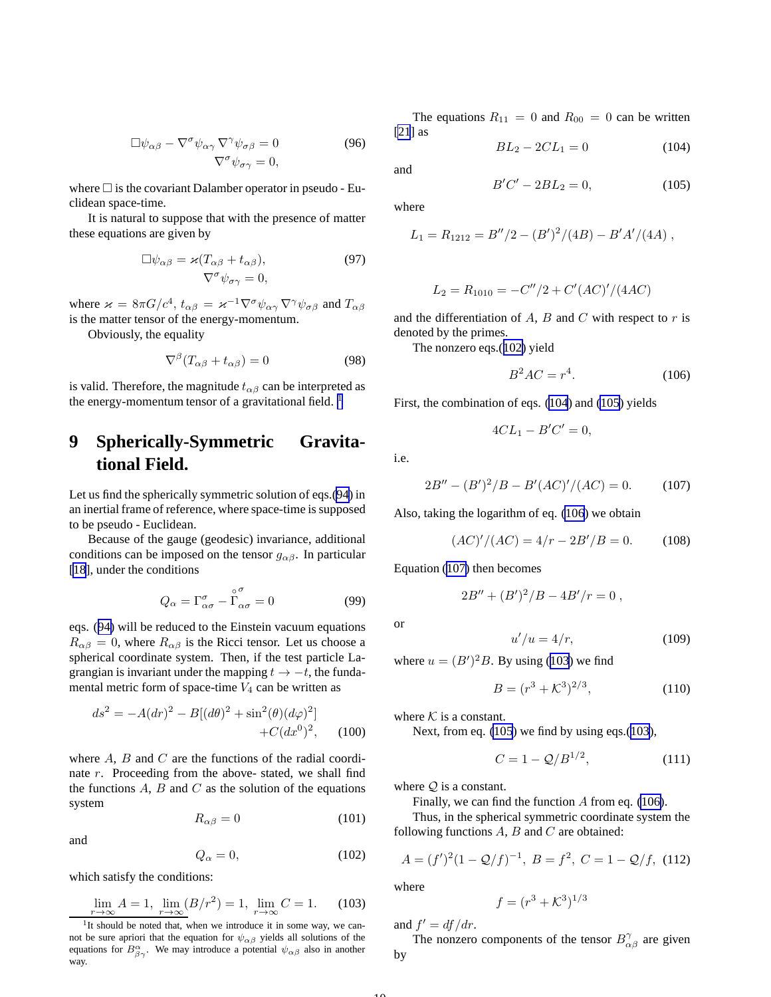<span id="page-9-0"></span>
$$
\Box \psi_{\alpha\beta} - \nabla^{\sigma} \psi_{\alpha\gamma} \nabla^{\gamma} \psi_{\sigma\beta} = 0
$$
\n
$$
\nabla^{\sigma} \psi_{\sigma\gamma} = 0,
$$
\n(96)

where  $\Box$  is the covariant Dalamber operator in pseudo - Euclidean space-time.

It is natural to suppose that with the presence of matter these equations are given by

$$
\Box \psi_{\alpha\beta} = \varkappa (T_{\alpha\beta} + t_{\alpha\beta}),
$$
\n
$$
\nabla^{\sigma} \psi_{\sigma\gamma} = 0,
$$
\n(97)

where  $\varkappa = 8\pi G/c^4$ ,  $t_{\alpha\beta} = \varkappa^{-1} \nabla^{\sigma} \psi_{\alpha\gamma} \nabla^{\gamma} \psi_{\sigma\beta}$  and  $T_{\alpha\beta}$ is the matter tensor of the energy-momentum.

Obviously, the equality

$$
\nabla^{\beta} (T_{\alpha\beta} + t_{\alpha\beta}) = 0 \tag{98}
$$

is valid. Therefore, the magnitude  $t_{\alpha\beta}$  can be interpreted as the energy-momentum tensor of a gravitational field.  $<sup>1</sup>$ </sup>

# **9 Spherically-Symmetric Gravitational Field.**

Let us find the spherically symmetric solution of eqs.[\(94](#page-8-0)) in an inertial frame of reference, where space-time is supposed to be pseudo - Euclidean.

Because of the gauge (geodesic) invariance, additional conditions can be imposed on the tensor  $g_{\alpha\beta}$ . In particular [\[18](#page-17-0)], under the conditions

$$
Q_{\alpha} = \Gamma^{\sigma}_{\alpha\sigma} - \stackrel{\circ}{\Gamma}_{\alpha\sigma}^{\sigma} = 0 \tag{99}
$$

eqs. ([94\)](#page-8-0) will be reduced to the Einstein vacuum equations  $R_{\alpha\beta} = 0$ , where  $R_{\alpha\beta}$  is the Ricci tensor. Let us choose a spherical coordinate system. Then, if the test particle Lagrangian is invariant under the mapping  $t \rightarrow -t$ , the fundamental metric form of space-time  $V_4$  can be written as

$$
ds^{2} = -A(dr)^{2} - B[(d\theta)^{2} + \sin^{2}(\theta)(d\varphi)^{2}] + C(dx^{0})^{2}, \quad (100)
$$

where  $A$ ,  $B$  and  $C$  are the functions of the radial coordinate r. Proceeding from the above- stated, we shall find the functions  $A$ ,  $B$  and  $C$  as the solution of the equations system

$$
R_{\alpha\beta} = 0 \tag{101}
$$

and

$$
Q_{\alpha} = 0, \tag{102}
$$

which satisfy the conditions:

$$
\lim_{r \to \infty} A = 1, \ \lim_{r \to \infty} (B/r^2) = 1, \ \lim_{r \to \infty} C = 1. \tag{103}
$$

The equations  $R_{11} = 0$  and  $R_{00} = 0$  can be written [\[21](#page-17-0)] as

$$
BL_2 - 2CL_1 = 0 \tag{104}
$$

and

$$
B'C'-2BL_2 = 0, \t(105)
$$

where

$$
L_1 = R_{1212} = B''/2 - (B')^2/(4B) - B'A'/(4A) ,
$$

$$
L_2 = R_{1010} = -C''/2 + C'(AC)'/(4AC)
$$

and the differentiation of  $A$ ,  $B$  and  $C$  with respect to  $r$  is denoted by the primes.

The nonzero eqs.(102) yield

$$
B^2AC = r^4. \tag{106}
$$

First, the combination of eqs. (104) and (105) yields

$$
4CL_1 - B'C' = 0,
$$

i.e.

$$
2B'' - (B')^2/B - B'(AC)'/(AC) = 0.
$$
 (107)

Also, taking the logarithm of eq. (106) we obtain

$$
(AC)'/(AC) = 4/r - 2B'/B = 0.
$$
 (108)

Equation (107) then becomes

$$
2B'' + (B')^2 / B - 4B'/r = 0,
$$

or

 $u'/u = 4/r,$  (109)

where  $u = (B')^2 B$ . By using (103) we find

$$
B = (r^3 + \mathcal{K}^3)^{2/3},\tag{110}
$$

where  $K$  is a constant.

Next, from eq. (105) we find by using eqs.(103),

$$
C = 1 - Q/B^{1/2}, \t(111)
$$

where  $Q$  is a constant.

Finally, we can find the function A from eq. (106).

Thus, in the spherical symmetric coordinate system the following functions  $A$ ,  $B$  and  $C$  are obtained:

$$
A = (f')^{2} (1 - \mathcal{Q}/f)^{-1}, \ B = f^{2}, \ C = 1 - \mathcal{Q}/f, \ (112)
$$

where

$$
f = (r^3 + \mathcal{K}^3)^{1/3}
$$

and  $f' = df/dr$ .

The nonzero components of the tensor  $B^{\gamma}_{\alpha\beta}$  are given by

<sup>&</sup>lt;sup>1</sup>It should be noted that, when we introduce it in some way, we cannot be sure apriori that the equation for  $\psi_{\alpha\beta}$  yields all solutions of the equations for  $B^{\alpha}_{\beta\gamma}$ . We may introduce a potential  $\psi_{\alpha\beta}$  also in another way.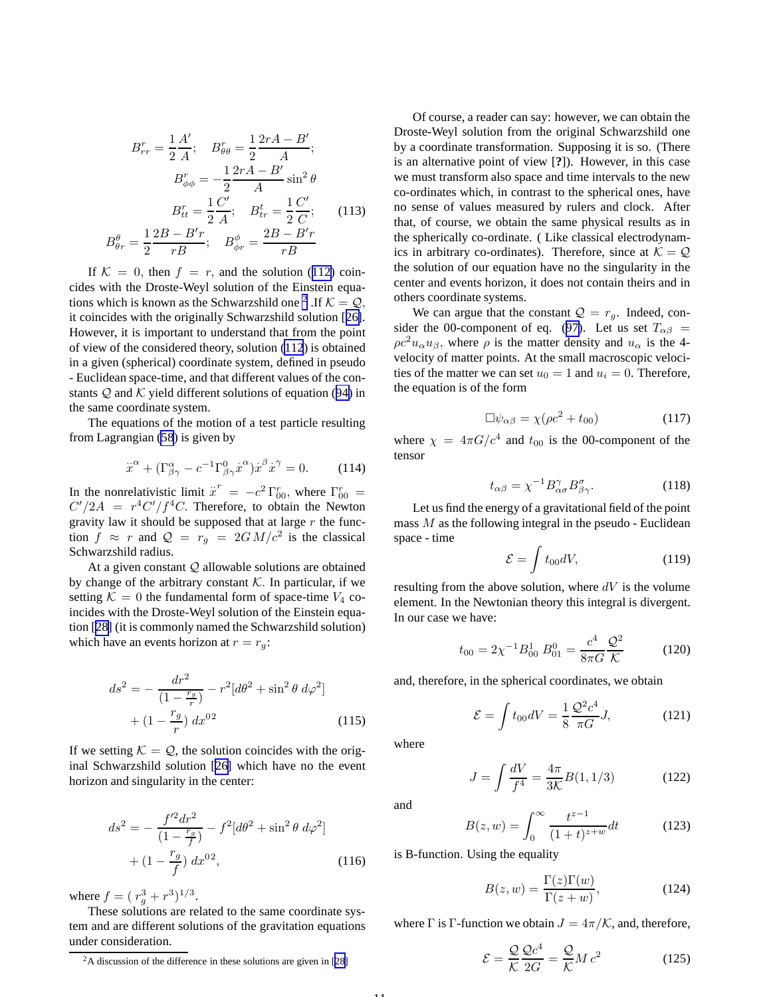$$
B_{rr}^r = \frac{1}{2} \frac{A'}{A}; \quad B_{\theta\theta}^r = \frac{1}{2} \frac{2rA - B'}{A};
$$
  

$$
B_{\phi\phi}^r = -\frac{1}{2} \frac{2rA - B'}{A} \sin^2 \theta
$$
  

$$
B_{tt}^r = \frac{1}{2} \frac{C'}{A}; \quad B_{tr}^t = \frac{1}{2} \frac{C'}{C};
$$
 (113)  

$$
B_{\theta r}^{\theta} = \frac{1}{2} \frac{2B - B'r}{rB}; \quad B_{\phi r}^{\phi} = \frac{2B - B'r}{rB}
$$

If  $K = 0$ , then  $f = r$ , and the solution ([112\)](#page-9-0) coincides with the Droste-Weyl solution of the Einstein equations which is known as the Schwarzshild one <sup>2</sup>. If  $K = Q$ , it coincides with the originally Schwarzshild solution [[26\]](#page-17-0). However, it is important to understand that from the point of view of the considered theory, solution [\(112](#page-9-0)) is obtained in a given (spherical) coordinate system, defined in pseudo - Euclidean space-time, and that different values of the constants  $Q$  and  $K$  yield different solutions of equation ([94\)](#page-8-0) in the same coordinate system.

The equations of the motion of a test particle resulting from Lagrangian ([58](#page-6-0)) is given by

$$
\ddot{x}^{\alpha} + (\Gamma^{\alpha}_{\beta\gamma} - c^{-1} \Gamma^0_{\beta\gamma} \dot{x}^{\alpha}) \dot{x}^{\beta} \dot{x}^{\gamma} = 0.
$$
 (114)

In the nonrelativistic limit  $\ddot{x}^r = -c^2 \Gamma_{00}^r$ , where  $\Gamma_{00}^r =$  $C'/2A = r^4C'/f^4C$ . Therefore, to obtain the Newton gravity law it should be supposed that at large  $r$  the function  $f \approx r$  and  $\mathcal{Q} = r_g = 2GM/c^2$  is the classical Schwarzshild radius.

At a given constant  $Q$  allowable solutions are obtained by change of the arbitrary constant  $K$ . In particular, if we setting  $K = 0$  the fundamental form of space-time  $V_4$  coincides with the Droste-Weyl solution of the Einstein equation [[28\]](#page-17-0) (it is commonly named the Schwarzshild solution) which have an events horizon at  $r = r_g$ :

$$
ds^{2} = -\frac{dr^{2}}{(1 - \frac{r_{g}}{r})} - r^{2}[d\theta^{2} + \sin^{2}\theta \, d\varphi^{2}] + (1 - \frac{r_{g}}{r}) \, dx^{02}
$$
\n(115)

If we setting  $K = Q$ , the solution coincides with the original Schwarzshild solution [[26\]](#page-17-0) which have no the event horizon and singularity in the center:

$$
ds^{2} = -\frac{f'^{2}dr^{2}}{(1 - \frac{r_{g}}{f})} - f^{2}[d\theta^{2} + \sin^{2}\theta \, d\varphi^{2}] + (1 - \frac{r_{g}}{f}) \, dx^{02}, \qquad (116)
$$

where  $f = (r_g^3 + r^3)^{1/3}$ .

These solutions are related to the same coordinate system and are different solutions of the gravitation equations under consideration.

Of course, a reader can say: however, we can obtain the Droste-Weyl solution from the original Schwarzshild one by a coordinate transformation. Supposing it is so. (There is an alternative point of view [**?**]). However, in this case we must transform also space and time intervals to the new co-ordinates which, in contrast to the spherical ones, have no sense of values measured by rulers and clock. After that, of course, we obtain the same physical results as in the spherically co-ordinate. ( Like classical electrodynamics in arbitrary co-ordinates). Therefore, since at  $K = Q$ the solution of our equation have no the singularity in the center and events horizon, it does not contain theirs and in others coordinate systems.

We can argue that the constant  $Q = r_q$ . Indeed, con-sider the 00-component of eq. ([97\)](#page-9-0). Let us set  $T_{\alpha\beta}$  =  $\rho c^2 u_\alpha u_\beta$ , where  $\rho$  is the matter density and  $u_\alpha$  is the 4velocity of matter points. At the small macroscopic velocities of the matter we can set  $u_0 = 1$  and  $u_i = 0$ . Therefore, the equation is of the form

$$
\Box \psi_{\alpha\beta} = \chi(\rho c^2 + t_{00}) \tag{117}
$$

where  $\chi = 4\pi G/c^4$  and  $t_{00}$  is the 00-component of the tensor

$$
t_{\alpha\beta} = \chi^{-1} B^{\gamma}_{\alpha\sigma} B^{\sigma}_{\beta\gamma}.
$$
 (118)

Let us find the energy of a gravitational field of the point mass  $M$  as the following integral in the pseudo - Euclidean space - time

$$
\mathcal{E} = \int t_{00} dV, \tag{119}
$$

resulting from the above solution, where  $dV$  is the volume element. In the Newtonian theory this integral is divergent. In our case we have:

$$
t_{00} = 2\chi^{-1}B_{00}^1 \ B_{01}^0 = \frac{c^4}{8\pi G} \frac{Q^2}{\mathcal{K}}
$$
 (120)

and, therefore, in the spherical coordinates, we obtain

$$
\mathcal{E} = \int t_{00} dV = \frac{1}{8} \frac{\mathcal{Q}^2 c^4}{\pi G} J, \qquad (121)
$$

where

$$
J = \int \frac{dV}{f^4} = \frac{4\pi}{3\mathcal{K}} B(1, 1/3) \tag{122}
$$

and

$$
B(z, w) = \int_0^\infty \frac{t^{z-1}}{(1+t)^{z+w}} dt
$$
 (123)

is B-function. Using the equality

$$
B(z, w) = \frac{\Gamma(z)\Gamma(w)}{\Gamma(z+w)},
$$
\n(124)

where  $\Gamma$  is  $\Gamma$ -function we obtain  $J = 4\pi/\mathcal{K}$ , and, therefore,

$$
\mathcal{E} = \frac{\mathcal{Q}}{\mathcal{K}} \frac{\mathcal{Q}c^4}{2G} = \frac{\mathcal{Q}}{\mathcal{K}} M c^2 \tag{125}
$$

 $2A$  discussion of the difference in these solutions are given in [\[28\]](#page-17-0)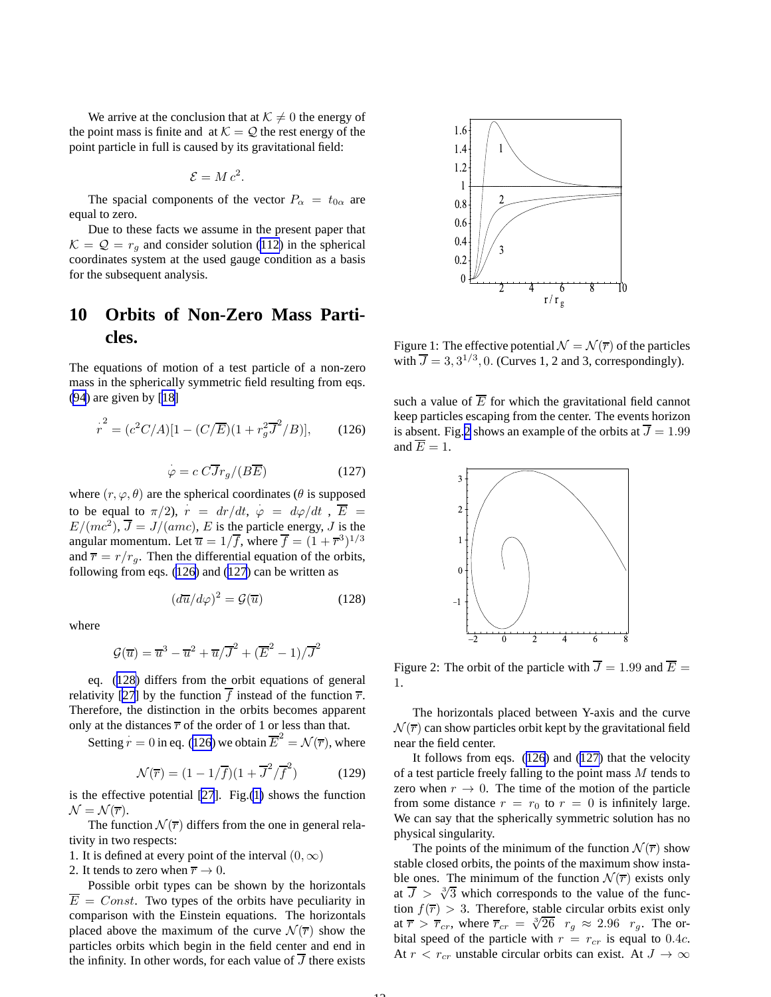<span id="page-11-0"></span>We arrive at the conclusion that at  $K \neq 0$  the energy of the point mass is finite and at  $K = Q$  the rest energy of the point particle in full is caused by its gravitational field:

$$
\mathcal{E} = M c^2.
$$

The spacial components of the vector  $P_{\alpha} = t_{0\alpha}$  are equal to zero.

Due to these facts we assume in the present paper that  $\mathcal{K} = \mathcal{Q} = r_a$  and consider solution ([112\)](#page-9-0) in the spherical coordinates system at the used gauge condition as a basis for the subsequent analysis.

## **10 Orbits of Non-Zero Mass Particles.**

The equations of motion of a test particle of a non-zero mass in the spherically symmetric field resulting from eqs. [\(94](#page-8-0)) are given by [[18\]](#page-17-0)

$$
\dot{r}^2 = (c^2 C/A)[1 - (C/\overline{E})(1 + r_g^2 \overline{J}^2/B)],
$$
 (126)

$$
\dot{\varphi} = c \, C \overline{J} r_g / (B \overline{E}) \tag{127}
$$

where  $(r, \varphi, \theta)$  are the spherical coordinates ( $\theta$  is supposed to be equal to  $\pi/2$ ,  $\vec{r} = dr/dt$ ,  $\varphi = d\varphi/dt$ ,  $\vec{E} =$  $E/(mc^2)$ ,  $\overline{J} = J/(amc)$ , E is the particle energy, J is the angular momentum. Let  $\overline{u} = 1/\overline{f}$ , where  $\overline{f} = (1 + \overline{r}^3)^{1/3}$ and  $\overline{r} = r/r_a$ . Then the differential equation of the orbits, following from eqs. (126) and (127) can be written as

$$
\left(d\overline{u}/d\varphi\right)^2 = \mathcal{G}(\overline{u})\tag{128}
$$

where

$$
\mathcal{G}(\overline{u}) = \overline{u}^3 - \overline{u}^2 + \overline{u}/\overline{J}^2 + (\overline{E}^2 - 1)/\overline{J}^2
$$

eq. (128) differs from the orbit equations of general relativity [\[27](#page-17-0)] by the function  $\overline{f}$  instead of the function  $\overline{r}$ . Therefore, the distinction in the orbits becomes apparent only at the distances  $\overline{r}$  of the order of 1 or less than that.

Setting  $\dot{r} = 0$  in eq. (126) we obtain  $\overline{E}^2 = \mathcal{N}(\overline{r})$ , where

$$
\mathcal{N}(\overline{r}) = (1 - 1/\overline{f})(1 + \overline{J}^2/\overline{f}^2)
$$
 (129)

 $1<sub>2</sub>$ 

is the effective potential [\[27](#page-17-0)]. Fig.(1) shows the function  $\mathcal{N} = \mathcal{N}(\overline{r}).$ 

The function  $\mathcal{N}(\overline{r})$  differs from the one in general relativity in two respects:

1. It is defined at every point of the interval  $(0, \infty)$ 

2. It tends to zero when  $\overline{r} \to 0$ .

Possible orbit types can be shown by the horizontals  $\overline{E} = Const.$  Two types of the orbits have peculiarity in comparison with the Einstein equations. The horizontals placed above the maximum of the curve  $\mathcal{N}(\overline{r})$  show the particles orbits which begin in the field center and end in the infinity. In other words, for each value of  $\overline{J}$  there exists



Figure 1: The effective potential  $\mathcal{N} = \mathcal{N}(\overline{r})$  of the particles with  $\overline{J} = 3, 3^{1/3}, 0$ . (Curves 1, 2 and 3, correspondingly).

such a value of  $\overline{E}$  for which the gravitational field cannot keep particles escaping from the center. The events horizon is absent. Fig.2 shows an example of the orbits at  $\overline{J} = 1.99$ and  $\overline{E} = 1$ .



Figure 2: The orbit of the particle with  $\overline{J} = 1.99$  and  $\overline{E} =$ 1.

The horizontals placed between Y-axis and the curve  $\mathcal{N}(\overline{r})$  can show particles orbit kept by the gravitational field near the field center.

It follows from eqs. (126) and (127) that the velocity of a test particle freely falling to the point mass M tends to zero when  $r \to 0$ . The time of the motion of the particle from some distance  $r = r_0$  to  $r = 0$  is infinitely large. We can say that the spherically symmetric solution has no physical singularity.

The points of the minimum of the function  $\mathcal{N}(\overline{r})$  show stable closed orbits, the points of the maximum show instable ones. The minimum of the function  $\mathcal{N}(\overline{r})$  exists only at  $\overline{J} > \sqrt[3]{3}$  which corresponds to the value of the function  $f(\overline{r}) > 3$ . Therefore, stable circular orbits exist only at  $\overline{r} > \overline{r}_{cr}$ , where  $\overline{r}_{cr} = \sqrt[3]{26}$   $r_g \approx 2.96$   $r_g$ . The orbital speed of the particle with  $r = r_{cr}$  is equal to 0.4*c*. At  $r < r_{cr}$  unstable circular orbits can exist. At  $J \to \infty$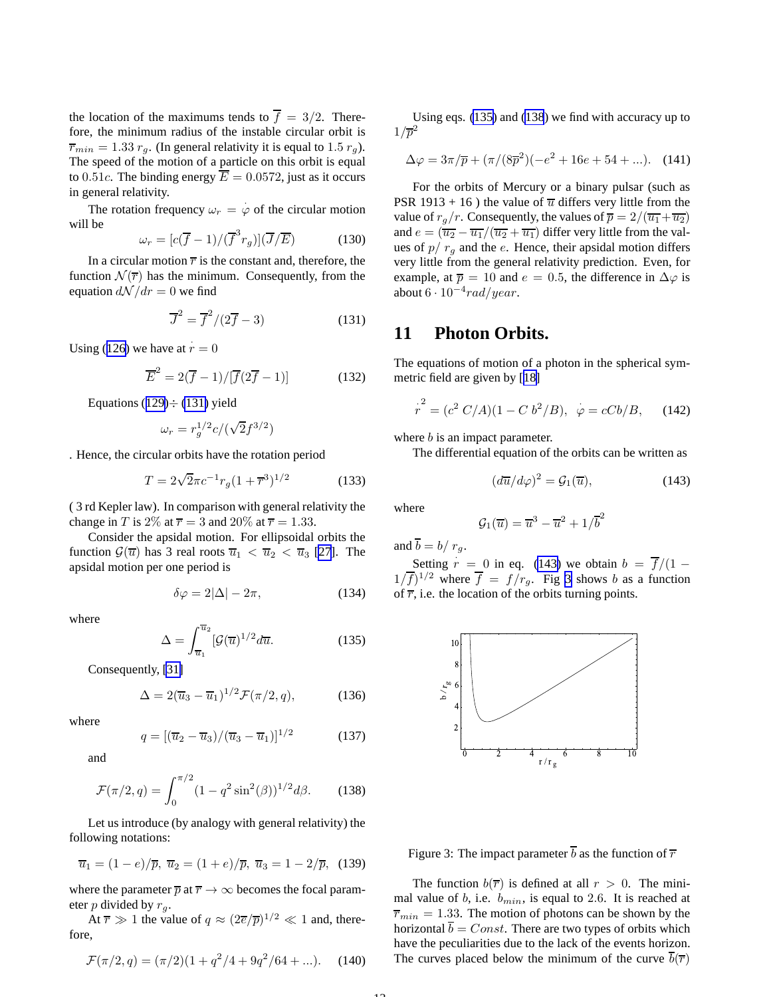the location of the maximums tends to  $\overline{f} = 3/2$ . Therefore, the minimum radius of the instable circular orbit is  $\overline{r}_{min} = 1.33 r_q$ . (In general relativity it is equal to 1.5  $r_q$ ). The speed of the motion of a particle on this orbit is equal to 0.51c. The binding energy  $\overline{E} = 0.0572$ , just as it occurs in general relativity.

The rotation frequency  $\omega_r = \varphi$  of the circular motion will be

$$
\omega_r = [c(\overline{f} - 1)/(\overline{f}^3 r_g)](\overline{J}/\overline{E}) \tag{130}
$$

In a circular motion  $\overline{r}$  is the constant and, therefore, the function  $\mathcal{N}(\overline{r})$  has the minimum. Consequently, from the equation  $d\mathcal{N}/dr = 0$  we find

$$
\overline{J}^2 = \overline{f}^2/(2\overline{f} - 3)
$$
 (131)

Using ([126\)](#page-11-0) we have at  $\dot{r} = 0$ 

$$
\overline{E}^2 = 2(\overline{f} - 1)/[\overline{f}(2\overline{f} - 1)] \tag{132}
$$

Equations ([129\)](#page-11-0) $\div$  (131) yield

$$
\omega_r=r_g^{1/2}c/(\sqrt{2}f^{3/2})
$$

. Hence, the circular orbits have the rotation period

$$
T = 2\sqrt{2}\pi c^{-1}r_g(1+\overline{r}^3)^{1/2}
$$
 (133)

( 3 rd Kepler law). In comparison with general relativity the change in T is 2\% at  $\overline{r} = 3$  and 20\% at  $\overline{r} = 1.33$ .

Consider the apsidal motion. For ellipsoidal orbits the function  $\mathcal{G}(\overline{u})$  has 3 real roots  $\overline{u}_1 < \overline{u}_2 < \overline{u}_3$  [\[27](#page-17-0)]. The apsidal motion per one period is

$$
\delta \varphi = 2|\Delta| - 2\pi, \tag{134}
$$

where

$$
\Delta = \int_{\overline{u}_1}^{\overline{u}_2} [\mathcal{G}(\overline{u})^{1/2} d\overline{u}.
$$
 (135)

Consequently, [\[31\]](#page-17-0)

$$
\Delta = 2(\overline{u}_3 - \overline{u}_1)^{1/2} \mathcal{F}(\pi/2, q), \tag{136}
$$

where

$$
q = \left[ \left( \overline{u}_2 - \overline{u}_3 \right) / \left( \overline{u}_3 - \overline{u}_1 \right) \right]^{1/2} \tag{137}
$$

and

$$
\mathcal{F}(\pi/2, q) = \int_0^{\pi/2} (1 - q^2 \sin^2(\beta))^{1/2} d\beta.
$$
 (138)

Let us introduce (by analogy with general relativity) the following notations:

$$
\overline{u}_1 = (1 - e)/\overline{p}, \ \overline{u}_2 = (1 + e)/\overline{p}, \ \overline{u}_3 = 1 - 2/\overline{p}, \ (139)
$$

where the parameter  $\overline{p}$  at  $\overline{r} \to \infty$  becomes the focal parameter p divided by  $r_g$ .

At  $\overline{r} \gg 1$  the value of  $q \approx (2\overline{e}/\overline{p})^{1/2} \ll 1$  and, therefore,

$$
\mathcal{F}(\pi/2, q) = (\pi/2)(1 + q^2/4 + 9q^2/64 + \ldots). \tag{140}
$$

Using eqs. (135) and (138) we find with accuracy up to  $1/\overline{p}^2$ 

$$
\Delta \varphi = 3\pi/\overline{p} + (\pi/(8\overline{p}^2)(-e^2 + 16e + 54 + ...). \quad (141)
$$

For the orbits of Mercury or a binary pulsar (such as PSR 1913 + 16) the value of  $\overline{u}$  differs very little from the value of  $r_a/r$ . Consequently, the values of  $\overline{p} = 2/(\overline{u_1} + \overline{u_2})$ and  $e = (\overline{u_2} - \overline{u_1}/(\overline{u_2} + \overline{u_1})$  differ very little from the values of  $p/r<sub>q</sub>$  and the e. Hence, their apsidal motion differs very little from the general relativity prediction. Even, for example, at  $\overline{p} = 10$  and  $e = 0.5$ , the difference in  $\Delta \varphi$  is about  $6 \cdot 10^{-4} rad/year$ .

#### **11 Photon Orbits.**

The equations of motion of a photon in the spherical symmetric field are given by [[18\]](#page-17-0)

$$
r^{2} = (c^{2} C/A)(1 - C b^{2}/B), \ \ \varphi = cCb/B, \quad (142)
$$

where *b* is an impact parameter.

The differential equation of the orbits can be written as

$$
\left(d\overline{u}/d\varphi\right)^2 = \mathcal{G}_1(\overline{u}),\tag{143}
$$

where

$$
\mathcal{G}_1(\overline{u}) = \overline{u}^3 - \overline{u}^2 + 1/\overline{b}^2
$$

and  $\overline{b} = b/r_a$ .

Setting 
$$
r = 0
$$
 in eq. (143) we obtain  $b = \overline{f}/(1 - 1/\overline{f})^{1/2}$  where  $\overline{f} = f/r_g$ . Fig 3 shows b as a function of  $\overline{r}$ , i.e. the location of the orbits turning points.



Figure 3: The impact parameter  $\overline{b}$  as the function of  $\overline{r}$ 

The function  $b(\overline{r})$  is defined at all  $r > 0$ . The minimal value of b, i.e.  $b_{min}$ , is equal to 2.6. It is reached at  $\overline{r}_{min} = 1.33$ . The motion of photons can be shown by the horizontal  $\overline{b} = Const$ . There are two types of orbits which have the peculiarities due to the lack of the events horizon. The curves placed below the minimum of the curve  $\overline{b}(\overline{r})$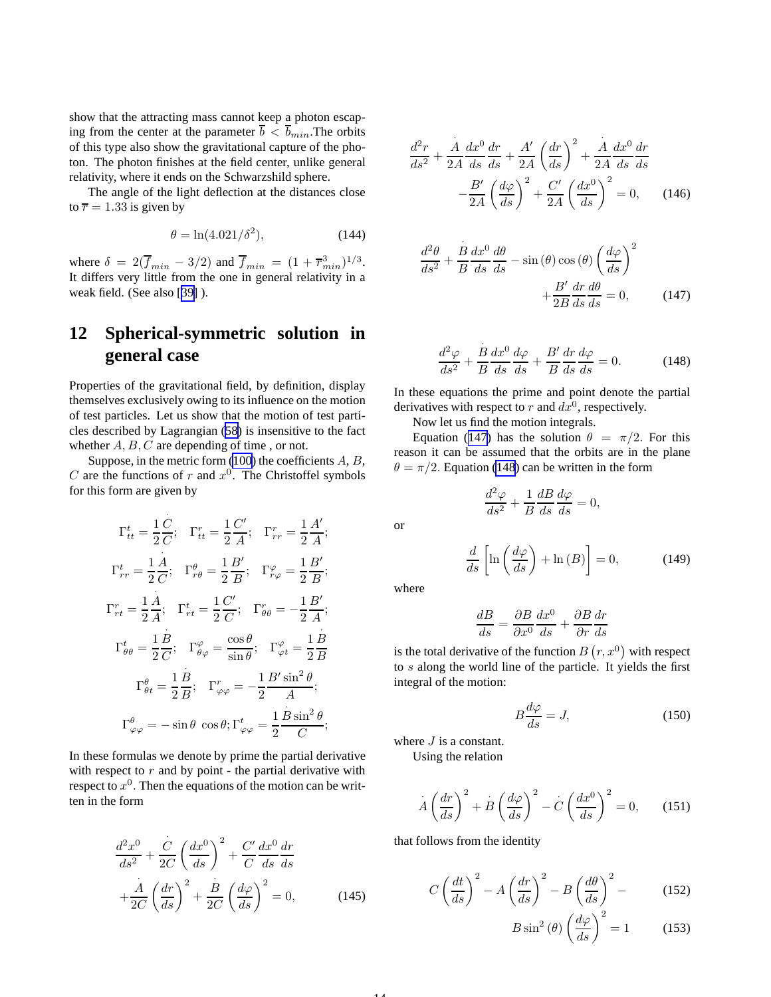<span id="page-13-0"></span>show that the attracting mass cannot keep a photon escaping from the center at the parameter  $\bar{b} < \bar{b}_{min}$ . The orbits of this type also show the gravitational capture of the photon. The photon finishes at the field center, unlike general relativity, where it ends on the Schwarzshild sphere.

The angle of the light deflection at the distances close to  $\overline{r} = 1.33$  is given by

$$
\theta = \ln(4.021/\delta^2),\tag{144}
$$

where  $\delta = 2(\overline{f}_{min} - 3/2)$  and  $\overline{f}_{min} = (1 + \overline{r}_{min}^3)^{1/3}$ . It differs very little from the one in general relativity in a weak field. (See also [[39\]](#page-17-0) ).

# **12 Spherical-symmetric solution in general case**

Properties of the gravitational field, by definition, display themselves exclusively owing to its influence on the motion of test particles. Let us show that the motion of test particles described by Lagrangian ([58](#page-6-0)) is insensitive to the fact whether  $A, B, C$  are depending of time, or not.

Suppose, in the metric form  $(100)$  $(100)$  $(100)$  the coefficients  $A, B$ , C are the functions of r and  $x^0$ . The Christoffel symbols for this form are given by

$$
\Gamma_{tt}^{t} = \frac{1}{2}\frac{C}{C}; \quad \Gamma_{tt}^{r} = \frac{1}{2}\frac{C'}{A}; \quad \Gamma_{rr}^{r} = \frac{1}{2}\frac{A'}{A};
$$
\n
$$
\Gamma_{rr}^{t} = \frac{1}{2}\frac{A}{C}; \quad \Gamma_{r\theta}^{\theta} = \frac{1}{2}\frac{B'}{B}; \quad \Gamma_{r\varphi}^{\varphi} = \frac{1}{2}\frac{B'}{B};
$$
\n
$$
\Gamma_{rt}^{r} = \frac{1}{2}\frac{A}{A}; \quad \Gamma_{rt}^{t} = \frac{1}{2}\frac{C'}{C}; \quad \Gamma_{\theta\theta}^{r} = -\frac{1}{2}\frac{B'}{A};
$$
\n
$$
\Gamma_{\theta\theta}^{t} = \frac{1}{2}\frac{B}{C}; \quad \Gamma_{\theta\varphi}^{\varphi} = \frac{\cos\theta}{\sin\theta}; \quad \Gamma_{\varphi t}^{\varphi} = \frac{1}{2}\frac{B}{B};
$$
\n
$$
\Gamma_{\theta t}^{\theta} = \frac{1}{2}\frac{B}{B}; \quad \Gamma_{\varphi\varphi}^{r} = -\frac{1}{2}\frac{B'\sin^{2}\theta}{A};
$$
\n
$$
\Gamma_{\varphi\varphi}^{\theta} = -\sin\theta \cos\theta; \quad \Gamma_{\varphi\varphi}^{t} = \frac{1}{2}\frac{B\sin^{2}\theta}{C};
$$

In these formulas we denote by prime the partial derivative with respect to  $r$  and by point - the partial derivative with respect to  $x^0$ . Then the equations of the motion can be written in the form

$$
\frac{d^2x^0}{ds^2} + \frac{C}{2C} \left(\frac{dx^0}{ds}\right)^2 + \frac{C'}{C} \frac{dx^0}{ds} \frac{dr}{ds}
$$

$$
+ \frac{\dot{A}}{2C} \left(\frac{dr}{ds}\right)^2 + \frac{\dot{B}}{2C} \left(\frac{d\varphi}{ds}\right)^2 = 0, \tag{145}
$$

$$
\frac{d^2r}{ds^2} + \frac{\dot{A}}{2A} \frac{dx^0}{ds} \frac{dr}{ds} + \frac{A'}{2A} \left(\frac{dr}{ds}\right)^2 + \frac{\dot{A}}{2A} \frac{dx^0}{ds} \frac{dr}{ds}
$$

$$
-\frac{B'}{2A} \left(\frac{d\varphi}{ds}\right)^2 + \frac{C'}{2A} \left(\frac{dx^0}{ds}\right)^2 = 0, \qquad (146)
$$

$$
\frac{d^2\theta}{ds^2} + \frac{B}{B} \frac{dx^0}{ds} \frac{d\theta}{ds} - \sin(\theta)\cos(\theta) \left(\frac{d\varphi}{ds}\right)^2 + \frac{B'}{2B} \frac{dr}{ds} \frac{d\theta}{ds} = 0, \quad (147)
$$

$$
\frac{d^2\varphi}{ds^2} + \frac{B}{B}\frac{dx^0}{ds}\frac{d\varphi}{ds} + \frac{B'}{B}\frac{dr}{ds}\frac{d\varphi}{ds} = 0.
$$
 (148)

In these equations the prime and point denote the partial derivatives with respect to r and  $dx^0$ , respectively.

Now let us find the motion integrals.

Equation (147) has the solution  $\theta = \pi/2$ . For this reason it can be assumed that the orbits are in the plane  $\theta = \pi/2$ . Equation (148) can be written in the form

$$
\frac{d^2\varphi}{ds^2} + \frac{1}{B}\frac{dB}{ds}\frac{d\varphi}{ds} = 0,
$$

$$
\frac{d}{ds}\left[\ln\left(\frac{d\varphi}{ds}\right) + \ln\left(B\right)\right] = 0,\tag{149}
$$

where

14

or

$$
\frac{dB}{ds} = \frac{\partial B}{\partial x^0} \frac{dx^0}{ds} + \frac{\partial B}{\partial r} \frac{dr}{ds}
$$

is the total derivative of the function  $B(r, x^0)$  with respect to s along the world line of the particle. It yields the first integral of the motion:

$$
B\frac{d\varphi}{ds} = J,\t(150)
$$

where  $J$  is a constant.

Using the relation

$$
\dot{A}\left(\frac{dr}{ds}\right)^2 + B\left(\frac{d\varphi}{ds}\right)^2 - C\left(\frac{dx^0}{ds}\right)^2 = 0, \qquad (151)
$$

that follows from the identity

$$
C\left(\frac{dt}{ds}\right)^2 - A\left(\frac{dr}{ds}\right)^2 - B\left(\frac{d\theta}{ds}\right)^2 - \tag{152}
$$

$$
B\sin^2\left(\theta\right)\left(\frac{d\varphi}{ds}\right)^2 = 1\tag{153}
$$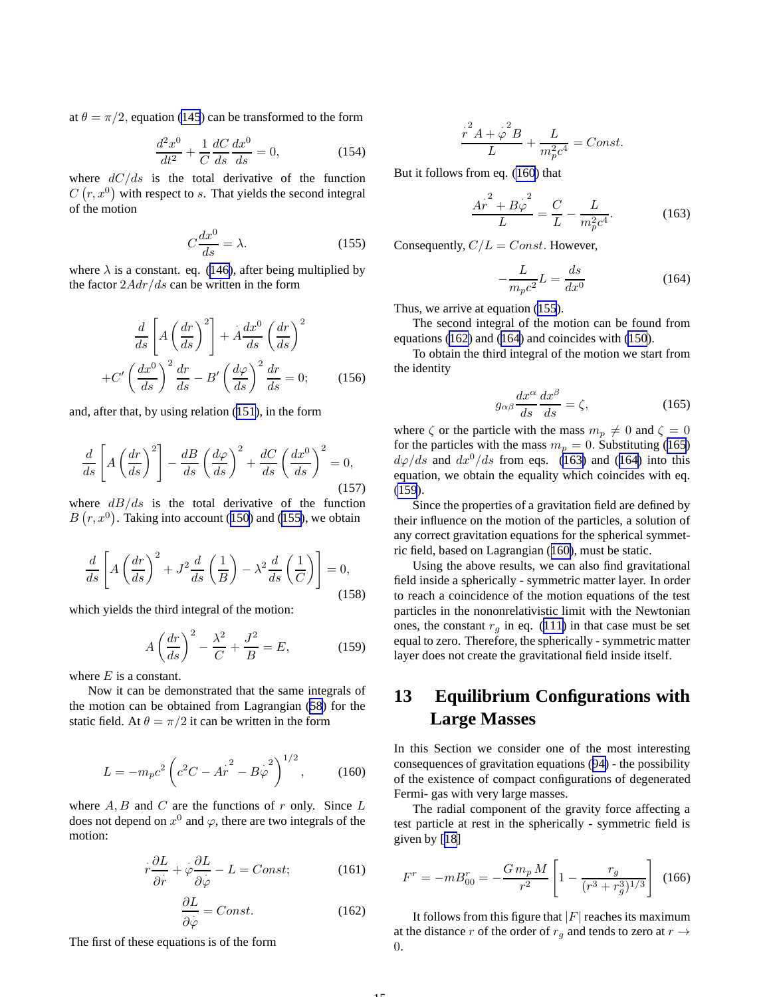<span id="page-14-0"></span>at  $\theta = \pi/2$ , equation [\(145](#page-13-0)) can be transformed to the form

$$
\frac{d^2x^0}{dt^2} + \frac{1}{C}\frac{dC}{ds}\frac{dx^0}{ds} = 0,
$$
\t(154)

where  $dC/ds$  is the total derivative of the function  $C(r, x^0)$  with respect to s. That yields the second integral of the motion

$$
C\frac{dx^0}{ds} = \lambda.
$$
 (155)

where  $\lambda$  is a constant. eq. ([146\)](#page-13-0), after being multiplied by the factor  $2Adr/ds$  can be written in the form

$$
\frac{d}{ds} \left[ A \left( \frac{dr}{ds} \right)^2 \right] + A \frac{dx^0}{ds} \left( \frac{dr}{ds} \right)^2
$$

$$
+ C' \left( \frac{dx^0}{ds} \right)^2 \frac{dr}{ds} - B' \left( \frac{d\varphi}{ds} \right)^2 \frac{dr}{ds} = 0; \qquad (156)
$$

and, after that, by using relation ([151\)](#page-13-0), in the form

$$
\frac{d}{ds} \left[ A \left( \frac{dr}{ds} \right)^2 \right] - \frac{dB}{ds} \left( \frac{d\varphi}{ds} \right)^2 + \frac{dC}{ds} \left( \frac{dx^0}{ds} \right)^2 = 0,
$$
\n(157)

where  $dB/ds$  is the total derivative of the function  $B(r, x^0)$ . Taking into account ([150](#page-13-0)) and (155), we obtain

$$
\frac{d}{ds}\left[A\left(\frac{dr}{ds}\right)^2 + J^2\frac{d}{ds}\left(\frac{1}{B}\right) - \lambda^2\frac{d}{ds}\left(\frac{1}{C}\right)\right] = 0,
$$
\n(158)

which yields the third integral of the motion:

$$
A\left(\frac{dr}{ds}\right)^2 - \frac{\lambda^2}{C} + \frac{J^2}{B} = E,\tag{159}
$$

where  $E$  is a constant.

Now it can be demonstrated that the same integrals of the motion can be obtained from Lagrangian [\(58](#page-6-0)) for the static field. At  $\theta = \pi/2$  it can be written in the form

$$
L = -m_p c^2 \left( c^2 C - A r^2 - B \varphi^2 \right)^{1/2}, \quad (160)
$$

where  $A, B$  and  $C$  are the functions of  $r$  only. Since  $L$ does not depend on  $x^0$  and  $\varphi$ , there are two integrals of the motion:

$$
\dot{r}\frac{\partial L}{\partial \dot{r}} + \dot{\varphi}\frac{\partial L}{\partial \dot{\varphi}} - L = Const; \qquad (161)
$$

$$
\frac{\partial L}{\partial \varphi} = Const.
$$
 (162)

 $1<sub>5</sub>$ 

The first of these equations is of the form

$$
\frac{r^2A + \varphi^2B}{L} + \frac{L}{m_p^2c^4} = Const.
$$

But it follows from eq. (160) that

$$
\frac{Ar^2 + B\varphi^2}{L} = \frac{C}{L} - \frac{L}{m_p^2 c^4}.
$$
 (163)

Consequently,  $C/L = Const.$  However,

$$
-\frac{L}{m_p c^2} L = \frac{ds}{dx^0} \tag{164}
$$

Thus, we arrive at equation (155).

The second integral of the motion can be found from equations (162) and (164) and coincides with [\(150](#page-13-0)).

To obtain the third integral of the motion we start from the identity

$$
g_{\alpha\beta}\frac{dx^{\alpha}}{ds}\frac{dx^{\beta}}{ds} = \zeta,\tag{165}
$$

where  $\zeta$  or the particle with the mass  $m_p \neq 0$  and  $\zeta = 0$ for the particles with the mass  $m_p = 0$ . Substituting (165)  $d\varphi/ds$  and  $dx^0/ds$  from eqs. (163) and (164) into this equation, we obtain the equality which coincides with eq. (159).

Since the properties of a gravitation field are defined by their influence on the motion of the particles, a solution of any correct gravitation equations for the spherical symmetric field, based on Lagrangian (160), must be static.

Using the above results, we can also find gravitational field inside a spherically - symmetric matter layer. In order to reach a coincidence of the motion equations of the test particles in the nononrelativistic limit with the Newtonian ones, the constant  $r_q$  in eq. ([111\)](#page-9-0) in that case must be set equal to zero. Therefore, the spherically - symmetric matter layer does not create the gravitational field inside itself.

## **13 Equilibrium Configurations with Large Masses**

In this Section we consider one of the most interesting consequences of gravitation equations ([94\)](#page-8-0) - the possibility of the existence of compact configurations of degenerated Fermi- gas with very large masses.

The radial component of the gravity force affecting a test particle at rest in the spherically - symmetric field is given by [[18\]](#page-17-0)

$$
F^{r} = -mB_{00}^{r} = -\frac{G m_{p} M}{r^{2}} \left[ 1 - \frac{r_{g}}{(r^{3} + r_{g}^{3})^{1/3}} \right] (166)
$$

It follows from this figure that  $|F|$  reaches its maximum at the distance r of the order of  $r<sub>g</sub>$  and tends to zero at  $r \rightarrow$ 0.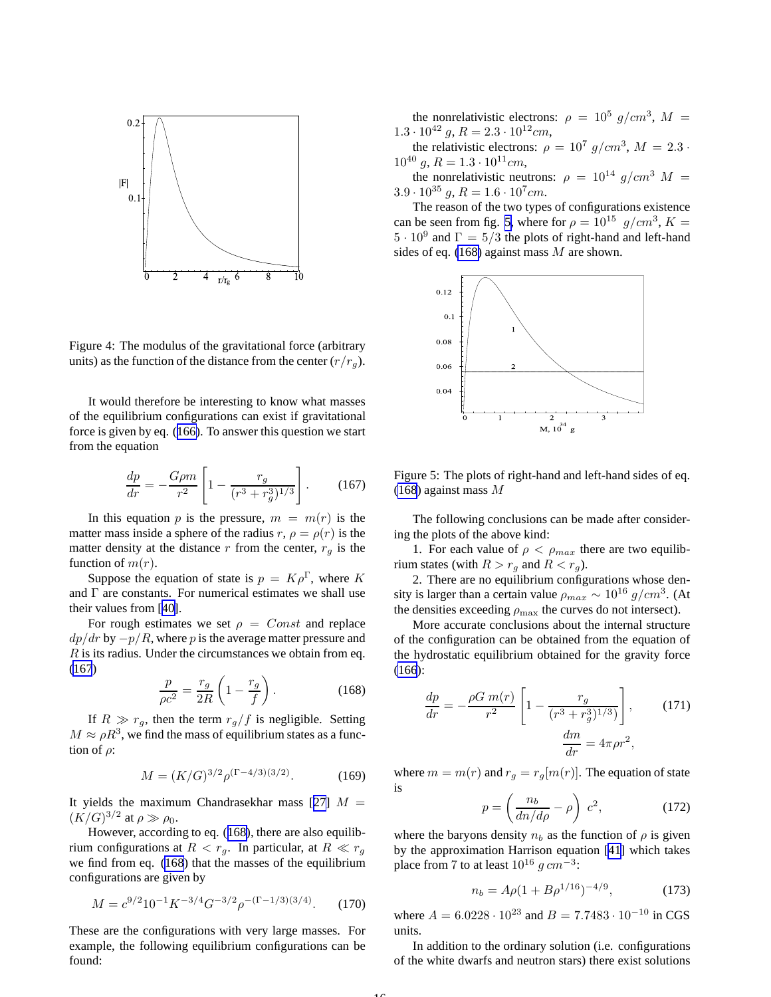

Figure 4: The modulus of the gravitational force (arbitrary units) as the function of the distance from the center  $(r/r_a)$ .

It would therefore be interesting to know what masses of the equilibrium configurations can exist if gravitational force is given by eq. ([166\)](#page-14-0). To answer this question we start from the equation

$$
\frac{dp}{dr} = -\frac{G\rho m}{r^2} \left[ 1 - \frac{r_g}{(r^3 + r_g^3)^{1/3}} \right].
$$
 (167)

In this equation p is the pressure,  $m = m(r)$  is the matter mass inside a sphere of the radius  $r, \rho = \rho(r)$  is the matter density at the distance r from the center,  $r_a$  is the function of  $m(r)$ .

Suppose the equation of state is  $p = K \rho^{\Gamma}$ , where K and Γ are constants. For numerical estimates we shall use their values from [[40\]](#page-17-0).

For rough estimates we set  $\rho = Const$  and replace  $dp/dr$  by  $-p/R$ , where p is the average matter pressure and  $R$  is its radius. Under the circumstances we obtain from eq. (167)

$$
\frac{p}{\rho c^2} = \frac{r_g}{2R} \left( 1 - \frac{r_g}{f} \right). \tag{168}
$$

If  $R \gg r_g$ , then the term  $r_g/f$  is negligible. Setting  $M \approx \rho R^3$ , we find the mass of equilibrium states as a function of  $\rho$ :

$$
M = (K/G)^{3/2} \rho^{(\Gamma - 4/3)(3/2)}.
$$
 (169)

It yields the maximum Chandrasekhar mass [[27\]](#page-17-0)  $M =$  $(K/G)^{3/2}$  at  $\rho \gg \rho_0$ .

However, according to eq. (168), there are also equilibrium configurations at  $R < r_q$ . In particular, at  $R \ll r_q$ we find from eq. (168) that the masses of the equilibrium configurations are given by

$$
M = c^{9/2} 10^{-1} K^{-3/4} G^{-3/2} \rho^{-(\Gamma - 1/3)(3/4)}.
$$
 (170)

These are the configurations with very large masses. For example, the following equilibrium configurations can be found:

the nonrelativistic electrons:  $\rho = 10^5$  g/cm<sup>3</sup>, M =  $1.3 \cdot 10^{42}$  g,  $R = 2.3 \cdot 10^{12}$ cm,

the relativistic electrons:  $\rho = 10^7$   $g/cm^3$ ,  $M = 2.3$ .  $10^{40}$  g,  $R = 1.3 \cdot 10^{11}$  cm,

the nonrelativistic neutrons:  $\rho = 10^{14} g/cm^3 M =$  $3.9 \cdot 10^{35}$  g,  $R = 1.6 \cdot 10^{7}$  cm.

The reason of the two types of configurations existence can be seen from fig. 5, where for  $\rho = 10^{15}$  g/cm<sup>3</sup>, K =  $5 \cdot 10^9$  and  $\Gamma = 5/3$  the plots of right-hand and left-hand sides of eq. (168) against mass  $M$  are shown.



Figure 5: The plots of right-hand and left-hand sides of eq.  $(168)$  against mass M

The following conclusions can be made after considering the plots of the above kind:

1. For each value of  $\rho < \rho_{max}$  there are two equilibrium states (with  $R > r_g$  and  $R < r_g$ ).

2. There are no equilibrium configurations whose density is larger than a certain value  $\rho_{max} \sim 10^{16} g/cm^3$ . (At the densities exceeding  $\rho_{\text{max}}$  the curves do not intersect).

More accurate conclusions about the internal structure of the configuration can be obtained from the equation of the hydrostatic equilibrium obtained for the gravity force [\(166](#page-14-0)):

$$
\frac{dp}{dr} = -\frac{\rho G \, m(r)}{r^2} \left[ 1 - \frac{r_g}{(r^3 + r_g^3)^{1/3})} \right],\tag{171}
$$
\n
$$
\frac{dm}{dr} = 4\pi \rho r^2,
$$

where  $m = m(r)$  and  $r_g = r_g[m(r)]$ . The equation of state is

$$
p = \left(\frac{n_b}{dn/d\rho} - \rho\right) c^2,\tag{172}
$$

where the baryons density  $n_b$  as the function of  $\rho$  is given by the approximation Harrison equation [\[41](#page-17-0)] which takes place from 7 to at least  $10^{16}$  g  $cm^{-3}$ :

$$
n_b = A\rho (1 + B\rho^{1/16})^{-4/9},\tag{173}
$$

where  $A = 6.0228 \cdot 10^{23}$  and  $B = 7.7483 \cdot 10^{-10}$  in CGS units.

In addition to the ordinary solution (i.e. configurations of the white dwarfs and neutron stars) there exist solutions

 $1<sub>6</sub>$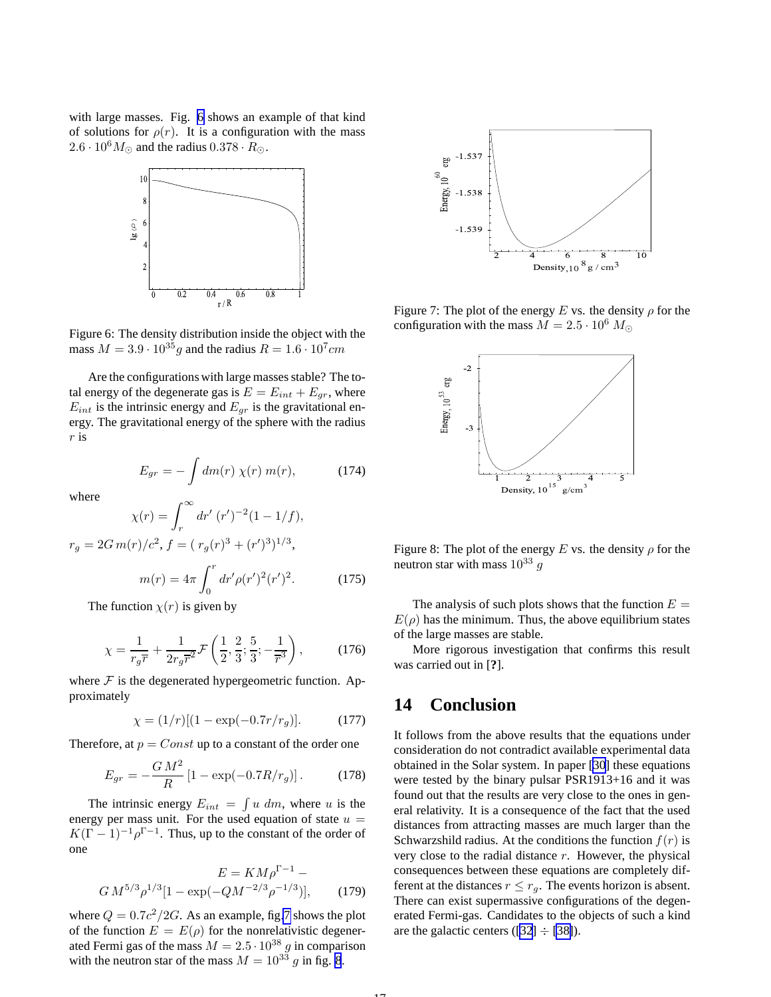with large masses. Fig. 6 shows an example of that kind of solutions for  $\rho(r)$ . It is a configuration with the mass  $2.6 \cdot 10^6 M_{\odot}$  and the radius  $0.378 \cdot R_{\odot}$ .



Figure 6: The density distribution inside the object with the mass  $M = 3.9 \cdot 10^{35} g$  and the radius  $R = 1.6 \cdot 10^{7} cm$ 

Are the configurations with large masses stable? The total energy of the degenerate gas is  $E = E_{int} + E_{gr}$ , where  $E_{int}$  is the intrinsic energy and  $E_{gr}$  is the gravitational energy. The gravitational energy of the sphere with the radius r is

$$
E_{gr} = -\int dm(r) \,\chi(r) \, m(r), \tag{174}
$$

where

$$
\chi(r) = \int_r^{\infty} dr' \ (r')^{-2} (1 - 1/f),
$$

$$
r_g = 2G m(r)/c^2, f = (r_g(r)^3 + (r')^3)^{1/3},
$$

$$
m(r) = 4\pi \int_0^r dr' \rho(r')^2 (r')^2.
$$
 (175)

The function  $\chi(r)$  is given by

$$
\chi = \frac{1}{r_g \overline{r}} + \frac{1}{2r_g \overline{r}^2} \mathcal{F}\left(\frac{1}{2}, \frac{2}{3}; \frac{5}{3}; -\frac{1}{\overline{r}^3}\right),\tag{176}
$$

where  $\mathcal F$  is the degenerated hypergeometric function. Approximately

$$
\chi = (1/r)[(1 - \exp(-0.7r/r_g)]. \tag{177}
$$

Therefore, at  $p = Const$  up to a constant of the order one

$$
E_{gr} = -\frac{GM^2}{R} \left[ 1 - \exp(-0.7R/r_g) \right].
$$
 (178)

The intrinsic energy  $E_{int} = \int u dm$ , where u is the energy per mass unit. For the used equation of state  $u =$  $K(\Gamma - 1)^{-1} \rho^{\Gamma - 1}$ . Thus, up to the constant of the order of one

$$
E = KM \rho^{\Gamma - 1} -
$$
  

$$
GM^{5/3} \rho^{1/3} [1 - \exp(-QM^{-2/3} \rho^{-1/3})],
$$
 (179)

where  $Q = 0.7c^2/2G$ . As an example, fig.7 shows the plot of the function  $E = E(\rho)$  for the nonrelativistic degenerated Fermi gas of the mass  $M = 2.5 \cdot 10^{38}$  g in comparison with the neutron star of the mass  $M = 10^{33} g$  in fig. 8.



Figure 7: The plot of the energy E vs. the density  $\rho$  for the configuration with the mass  $M = 2.5 \cdot 10^6 M_{\odot}$ 



Figure 8: The plot of the energy E vs. the density  $\rho$  for the neutron star with mass  $10^{33}$  q

The analysis of such plots shows that the function  $E =$  $E(\rho)$  has the minimum. Thus, the above equilibrium states of the large masses are stable.

More rigorous investigation that confirms this result was carried out in [**?**].

### **14 Conclusion**

It follows from the above results that the equations under consideration do not contradict available experimental data obtained in the Solar system. In paper [\[30](#page-17-0)] these equations were tested by the binary pulsar PSR1913+16 and it was found out that the results are very close to the ones in general relativity. It is a consequence of the fact that the used distances from attracting masses are much larger than the Schwarzshild radius. At the conditions the function  $f(r)$  is very close to the radial distance  $r$ . However, the physical consequences between these equations are completely different at the distances  $r \leq r_q$ . The events horizon is absent. There can exist supermassive configurations of the degenerated Fermi-gas. Candidates to the objects of such a kind are the galactic centers ([\[32](#page-17-0)]  $\div$  [\[38\]](#page-17-0)).